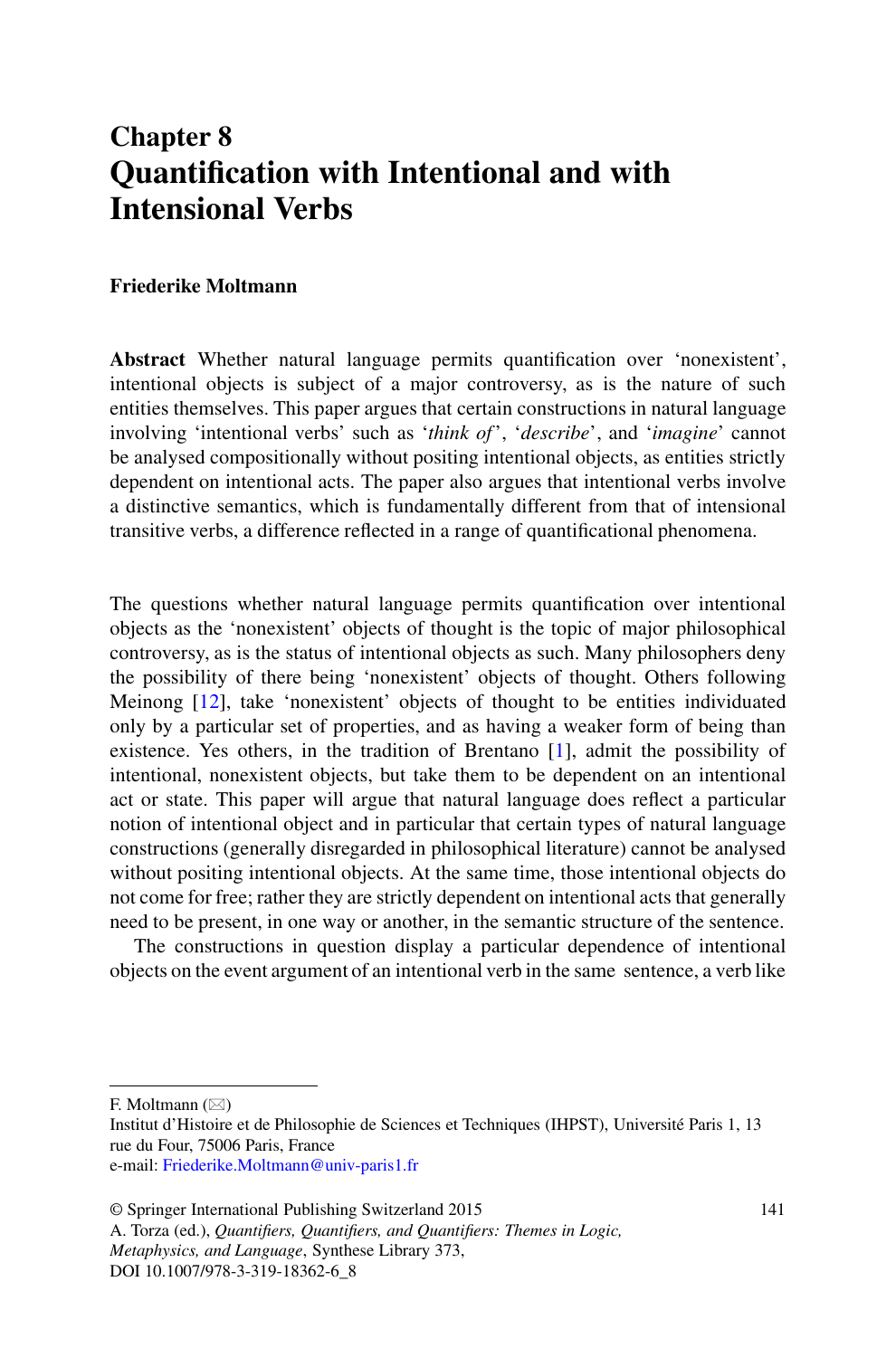# **Chapter 8 Quantification with Intentional and with Intensional Verbs**

#### **Friederike Moltmann**

**Abstract** Whether natural language permits quantification over 'nonexistent', intentional objects is subject of a major controversy, as is the nature of such entities themselves. This paper argues that certain constructions in natural language involving 'intentional verbs' such as '*think of*', '*describe*', and '*imagine*' cannot be analysed compositionally without positing intentional objects, as entities strictly dependent on intentional acts. The paper also argues that intentional verbs involve a distinctive semantics, which is fundamentally different from that of intensional transitive verbs, a difference reflected in a range of quantificational phenomena.

The questions whether natural language permits quantification over intentional objects as the 'nonexistent' objects of thought is the topic of major philosophical controversy, as is the status of intentional objects as such. Many philosophers deny the possibility of there being 'nonexistent' objects of thought. Others following Meinong [\[12\]](#page-26-0), take 'nonexistent' objects of thought to be entities individuated only by a particular set of properties, and as having a weaker form of being than existence. Yes others, in the tradition of Brentano [\[1\]](#page-26-1), admit the possibility of intentional, nonexistent objects, but take them to be dependent on an intentional act or state. This paper will argue that natural language does reflect a particular notion of intentional object and in particular that certain types of natural language constructions (generally disregarded in philosophical literature) cannot be analysed without positing intentional objects. At the same time, those intentional objects do not come for free; rather they are strictly dependent on intentional acts that generally need to be present, in one way or another, in the semantic structure of the sentence.

The constructions in question display a particular dependence of intentional objects on the event argument of an intentional verb in the same sentence, a verb like

F. Moltmann  $(\boxtimes)$ 

Institut d'Histoire et de Philosophie de Sciences et Techniques (IHPST), Université Paris 1, 13 rue du Four, 75006 Paris, France

e-mail: [Friederike.Moltmann@univ-paris1.fr](mailto:Friederike.Moltmann@univ-paris1.fr)

<sup>©</sup> Springer International Publishing Switzerland 2015

A. Torza (ed.), *Quantifiers, Quantifiers, and Quantifiers: Themes in Logic, Metaphysics, and Language*, Synthese Library 373, DOI 10.1007/978-3-319-18362-6\_8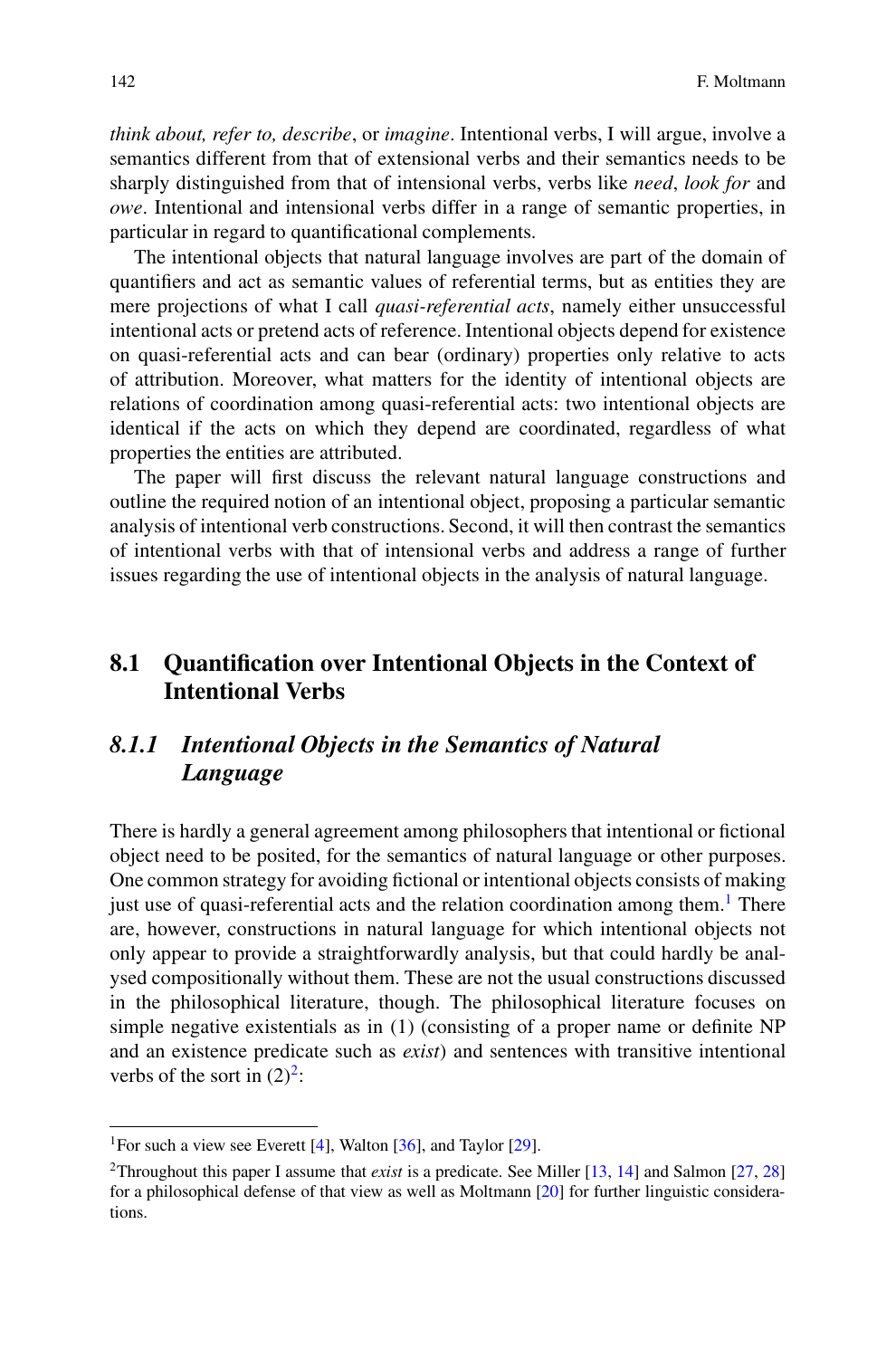*think about, refer to, describe*, or *imagine*. Intentional verbs, I will argue, involve a semantics different from that of extensional verbs and their semantics needs to be sharply distinguished from that of intensional verbs, verbs like *need*, *look for* and *owe*. Intentional and intensional verbs differ in a range of semantic properties, in particular in regard to quantificational complements.

The intentional objects that natural language involves are part of the domain of quantifiers and act as semantic values of referential terms, but as entities they are mere projections of what I call *quasi-referential acts*, namely either unsuccessful intentional acts or pretend acts of reference. Intentional objects depend for existence on quasi-referential acts and can bear (ordinary) properties only relative to acts of attribution. Moreover, what matters for the identity of intentional objects are relations of coordination among quasi-referential acts: two intentional objects are identical if the acts on which they depend are coordinated, regardless of what properties the entities are attributed.

The paper will first discuss the relevant natural language constructions and outline the required notion of an intentional object, proposing a particular semantic analysis of intentional verb constructions. Second, it will then contrast the semantics of intentional verbs with that of intensional verbs and address a range of further issues regarding the use of intentional objects in the analysis of natural language.

# **8.1 Quantification over Intentional Objects in the Context of Intentional Verbs**

## *8.1.1 Intentional Objects in the Semantics of Natural Language*

There is hardly a general agreement among philosophers that intentional or fictional object need to be posited, for the semantics of natural language or other purposes. One common strategy for avoiding fictional or intentional objects consists of making just use of quasi-referential acts and the relation coordination among them.<sup>[1](#page-1-0)</sup> There are, however, constructions in natural language for which intentional objects not only appear to provide a straightforwardly analysis, but that could hardly be analysed compositionally without them. These are not the usual constructions discussed in the philosophical literature, though. The philosophical literature focuses on simple negative existentials as in (1) (consisting of a proper name or definite NP and an existence predicate such as *exist*) and sentences with transitive intentional verbs of the sort in  $(2)^2$ :

<span id="page-1-0"></span><sup>&</sup>lt;sup>1</sup>For such a view see Everett [\[4\]](#page-26-2), Walton [\[36\]](#page-27-0), and Taylor [\[29\]](#page-26-3).

<span id="page-1-1"></span><sup>2</sup>Throughout this paper I assume that *exist* is a predicate. See Miller [\[13,](#page-26-4) [14\]](#page-26-5) and Salmon [\[27,](#page-26-6) [28\]](#page-26-7) for a philosophical defense of that view as well as Moltmann [\[20\]](#page-26-8) for further linguistic considerations.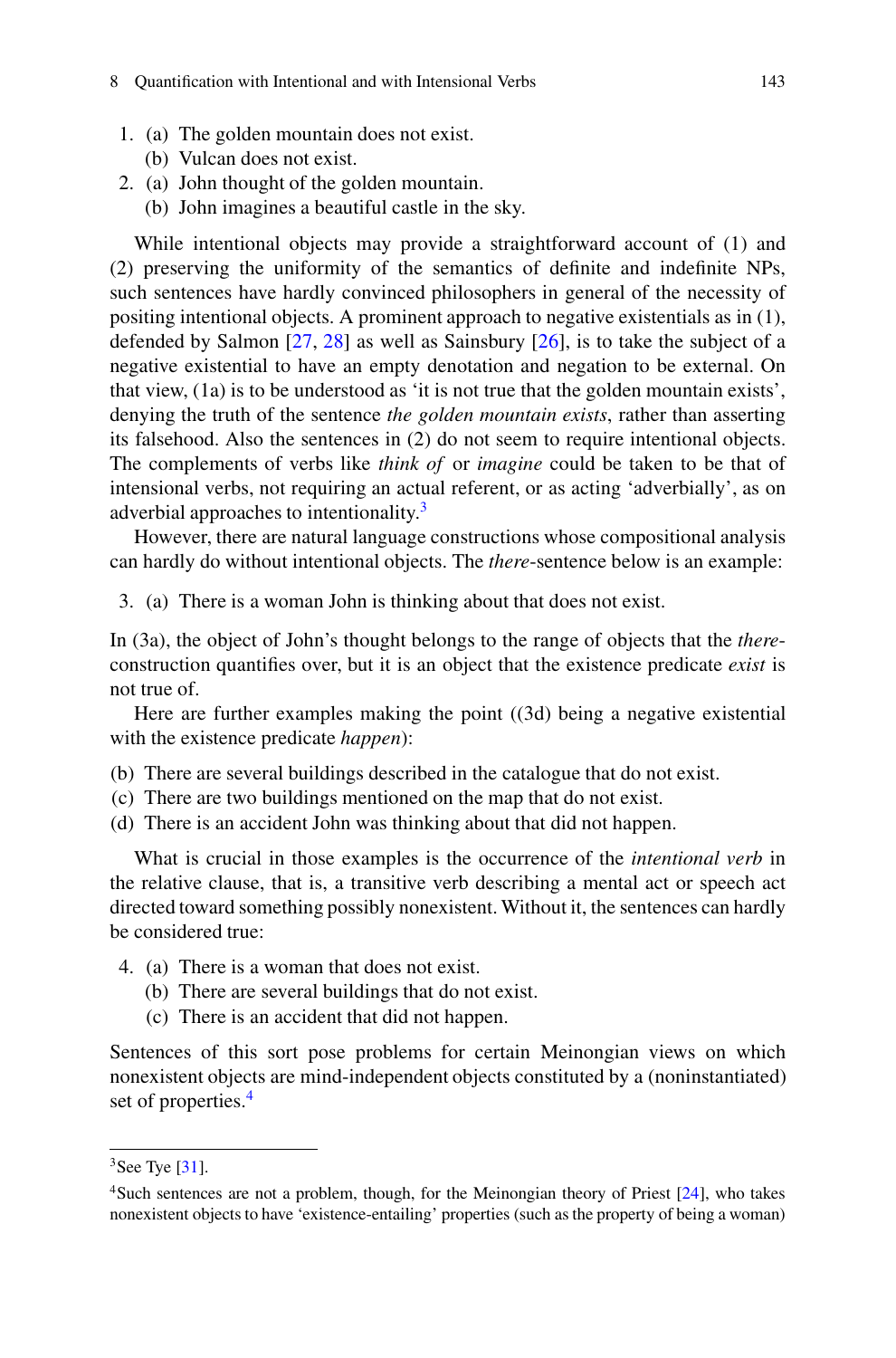- 1. (a) The golden mountain does not exist.
	- (b) Vulcan does not exist.
- 2. (a) John thought of the golden mountain.
	- (b) John imagines a beautiful castle in the sky.

While intentional objects may provide a straightforward account of (1) and (2) preserving the uniformity of the semantics of definite and indefinite NPs, such sentences have hardly convinced philosophers in general of the necessity of positing intentional objects. A prominent approach to negative existentials as in (1), defended by Salmon [\[27,](#page-26-6) [28\]](#page-26-7) as well as Sainsbury [\[26\]](#page-26-9), is to take the subject of a negative existential to have an empty denotation and negation to be external. On that view, (1a) is to be understood as 'it is not true that the golden mountain exists', denying the truth of the sentence *the golden mountain exists*, rather than asserting its falsehood. Also the sentences in (2) do not seem to require intentional objects. The complements of verbs like *think of* or *imagine* could be taken to be that of intensional verbs, not requiring an actual referent, or as acting 'adverbially', as on adverbial approaches to intentionality.<sup>[3](#page-2-0)</sup>

However, there are natural language constructions whose compositional analysis can hardly do without intentional objects. The *there*-sentence below is an example:

3. (a) There is a woman John is thinking about that does not exist.

In (3a), the object of John's thought belongs to the range of objects that the *there*construction quantifies over, but it is an object that the existence predicate *exist* is not true of.

Here are further examples making the point ((3d) being a negative existential with the existence predicate *happen*):

- (b) There are several buildings described in the catalogue that do not exist.
- (c) There are two buildings mentioned on the map that do not exist.
- (d) There is an accident John was thinking about that did not happen.

What is crucial in those examples is the occurrence of the *intentional verb* in the relative clause, that is, a transitive verb describing a mental act or speech act directed toward something possibly nonexistent. Without it, the sentences can hardly be considered true:

- 4. (a) There is a woman that does not exist.
	- (b) There are several buildings that do not exist.
	- (c) There is an accident that did not happen.

Sentences of this sort pose problems for certain Meinongian views on which nonexistent objects are mind-independent objects constituted by a (noninstantiated) set of properties.<sup>[4](#page-2-1)</sup>

<span id="page-2-0"></span> $3$ See Tye [\[31\]](#page-26-10).

<span id="page-2-1"></span><sup>4</sup>Such sentences are not a problem, though, for the Meinongian theory of Priest [\[24\]](#page-26-11), who takes nonexistent objects to have 'existence-entailing' properties (such as the property of being a woman)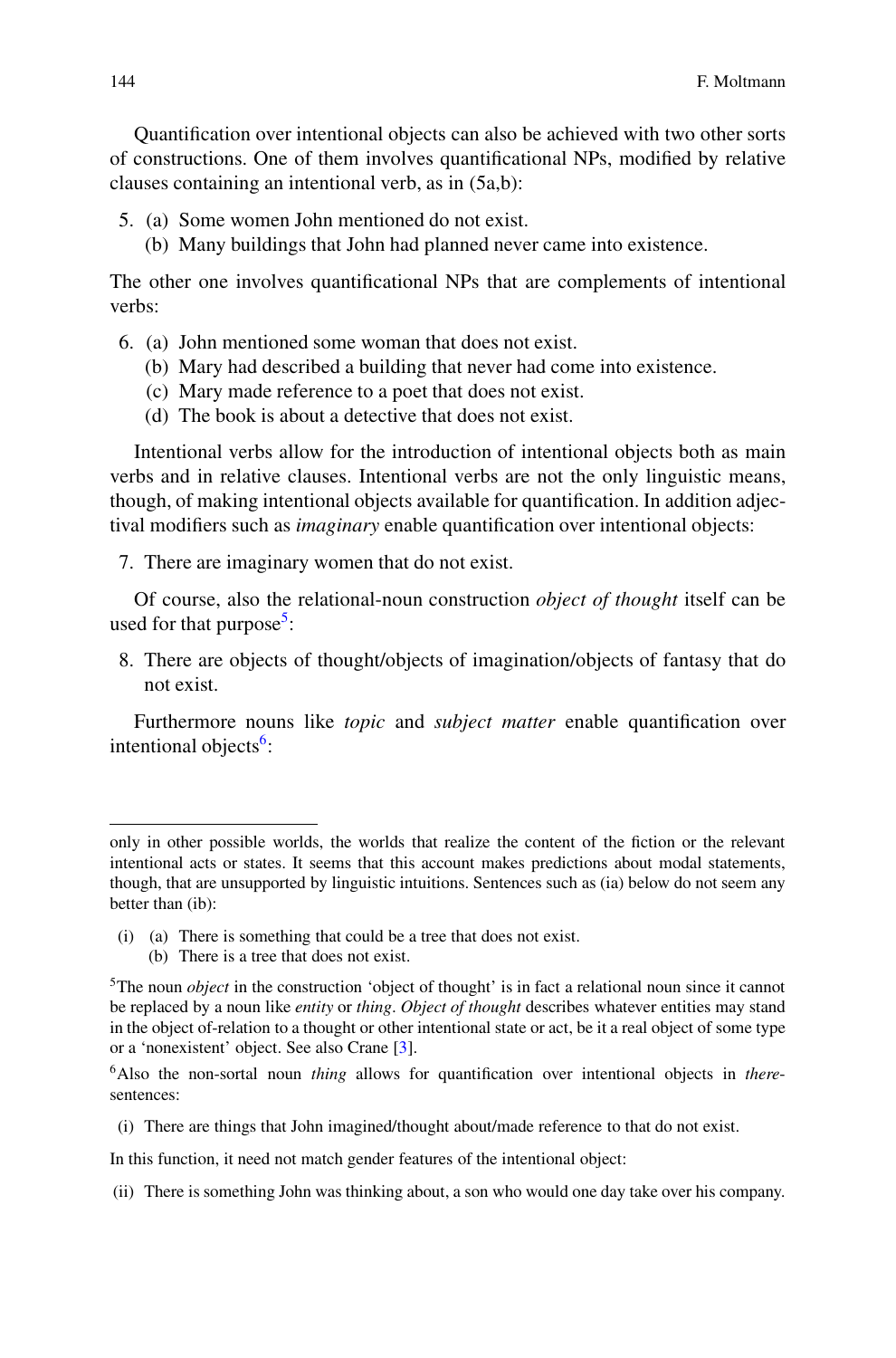Quantification over intentional objects can also be achieved with two other sorts of constructions. One of them involves quantificational NPs, modified by relative clauses containing an intentional verb, as in (5a,b):

- 5. (a) Some women John mentioned do not exist.
	- (b) Many buildings that John had planned never came into existence.

The other one involves quantificational NPs that are complements of intentional verbs:

- 6. (a) John mentioned some woman that does not exist.
	- (b) Mary had described a building that never had come into existence.
	- (c) Mary made reference to a poet that does not exist.
	- (d) The book is about a detective that does not exist.

Intentional verbs allow for the introduction of intentional objects both as main verbs and in relative clauses. Intentional verbs are not the only linguistic means, though, of making intentional objects available for quantification. In addition adjectival modifiers such as *imaginary* enable quantification over intentional objects:

7. There are imaginary women that do not exist.

Of course, also the relational-noun construction *object of thought* itself can be used for that purpose<sup>5</sup>:

8. There are objects of thought/objects of imagination/objects of fantasy that do not exist.

Furthermore nouns like *topic* and *subject matter* enable quantification over intentional objects<sup>6</sup>:

(i) (a) There is something that could be a tree that does not exist. (b) There is a tree that does not exist.

(i) There are things that John imagined/thought about/made reference to that do not exist.

In this function, it need not match gender features of the intentional object:

only in other possible worlds, the worlds that realize the content of the fiction or the relevant intentional acts or states. It seems that this account makes predictions about modal statements, though, that are unsupported by linguistic intuitions. Sentences such as (ia) below do not seem any better than (ib):

<span id="page-3-0"></span><sup>&</sup>lt;sup>5</sup>The noun *object* in the construction 'object of thought' is in fact a relational noun since it cannot be replaced by a noun like *entity* or *thing*. *Object of thought* describes whatever entities may stand in the object of-relation to a thought or other intentional state or act, be it a real object of some type or a 'nonexistent' object. See also Crane [\[3\]](#page-26-12).

<span id="page-3-1"></span><sup>6</sup>Also the non-sortal noun *thing* allows for quantification over intentional objects in *there*sentences:

<sup>(</sup>ii) There is something John was thinking about, a son who would one day take over his company.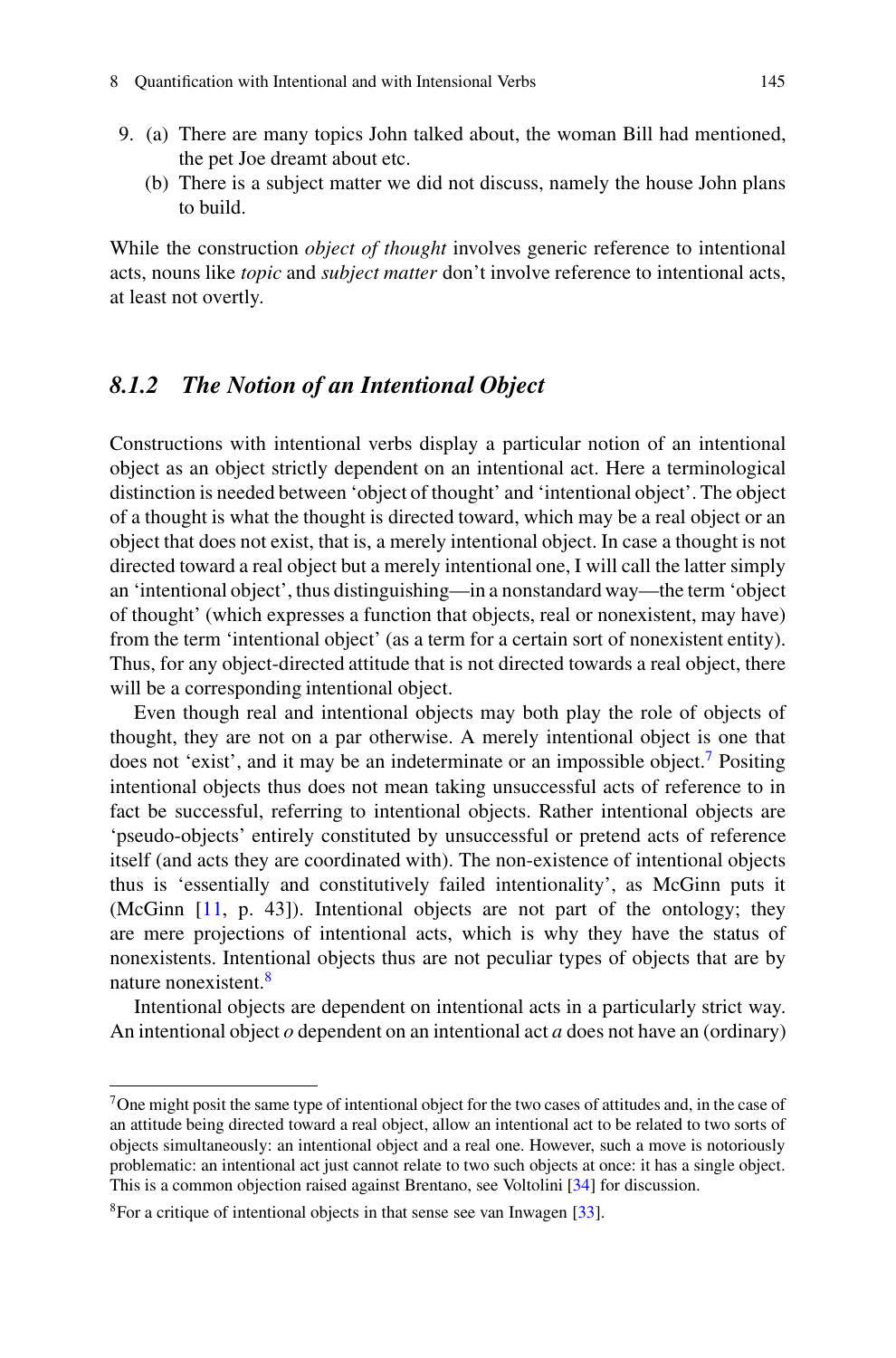- 9. (a) There are many topics John talked about, the woman Bill had mentioned, the pet Joe dreamt about etc.
	- (b) There is a subject matter we did not discuss, namely the house John plans to build.

While the construction *object of thought* involves generic reference to intentional acts, nouns like *topic* and *subject matter* don't involve reference to intentional acts, at least not overtly.

#### *8.1.2 The Notion of an Intentional Object*

Constructions with intentional verbs display a particular notion of an intentional object as an object strictly dependent on an intentional act. Here a terminological distinction is needed between 'object of thought' and 'intentional object'. The object of a thought is what the thought is directed toward, which may be a real object or an object that does not exist, that is, a merely intentional object. In case a thought is not directed toward a real object but a merely intentional one, I will call the latter simply an 'intentional object', thus distinguishing—in a nonstandard way—the term 'object of thought' (which expresses a function that objects, real or nonexistent, may have) from the term 'intentional object' (as a term for a certain sort of nonexistent entity). Thus, for any object-directed attitude that is not directed towards a real object, there will be a corresponding intentional object.

Even though real and intentional objects may both play the role of objects of thought, they are not on a par otherwise. A merely intentional object is one that does not 'exist', and it may be an indeterminate or an impossible object.<sup>7</sup> Positing intentional objects thus does not mean taking unsuccessful acts of reference to in fact be successful, referring to intentional objects. Rather intentional objects are 'pseudo-objects' entirely constituted by unsuccessful or pretend acts of reference itself (and acts they are coordinated with). The non-existence of intentional objects thus is 'essentially and constitutively failed intentionality', as McGinn puts it (McGinn [\[11,](#page-26-13) p. 43]). Intentional objects are not part of the ontology; they are mere projections of intentional acts, which is why they have the status of nonexistents. Intentional objects thus are not peculiar types of objects that are by nature nonexistent.<sup>[8](#page-4-1)</sup>

Intentional objects are dependent on intentional acts in a particularly strict way. An intentional object *o* dependent on an intentional act *a* does not have an (ordinary)

<span id="page-4-0"></span><sup>&</sup>lt;sup>7</sup>One might posit the same type of intentional object for the two cases of attitudes and, in the case of an attitude being directed toward a real object, allow an intentional act to be related to two sorts of objects simultaneously: an intentional object and a real one. However, such a move is notoriously problematic: an intentional act just cannot relate to two such objects at once: it has a single object. This is a common objection raised against Brentano, see Voltolini [\[34\]](#page-26-14) for discussion.

<span id="page-4-1"></span><sup>&</sup>lt;sup>8</sup>For a critique of intentional objects in that sense see van Inwagen [\[33\]](#page-26-15).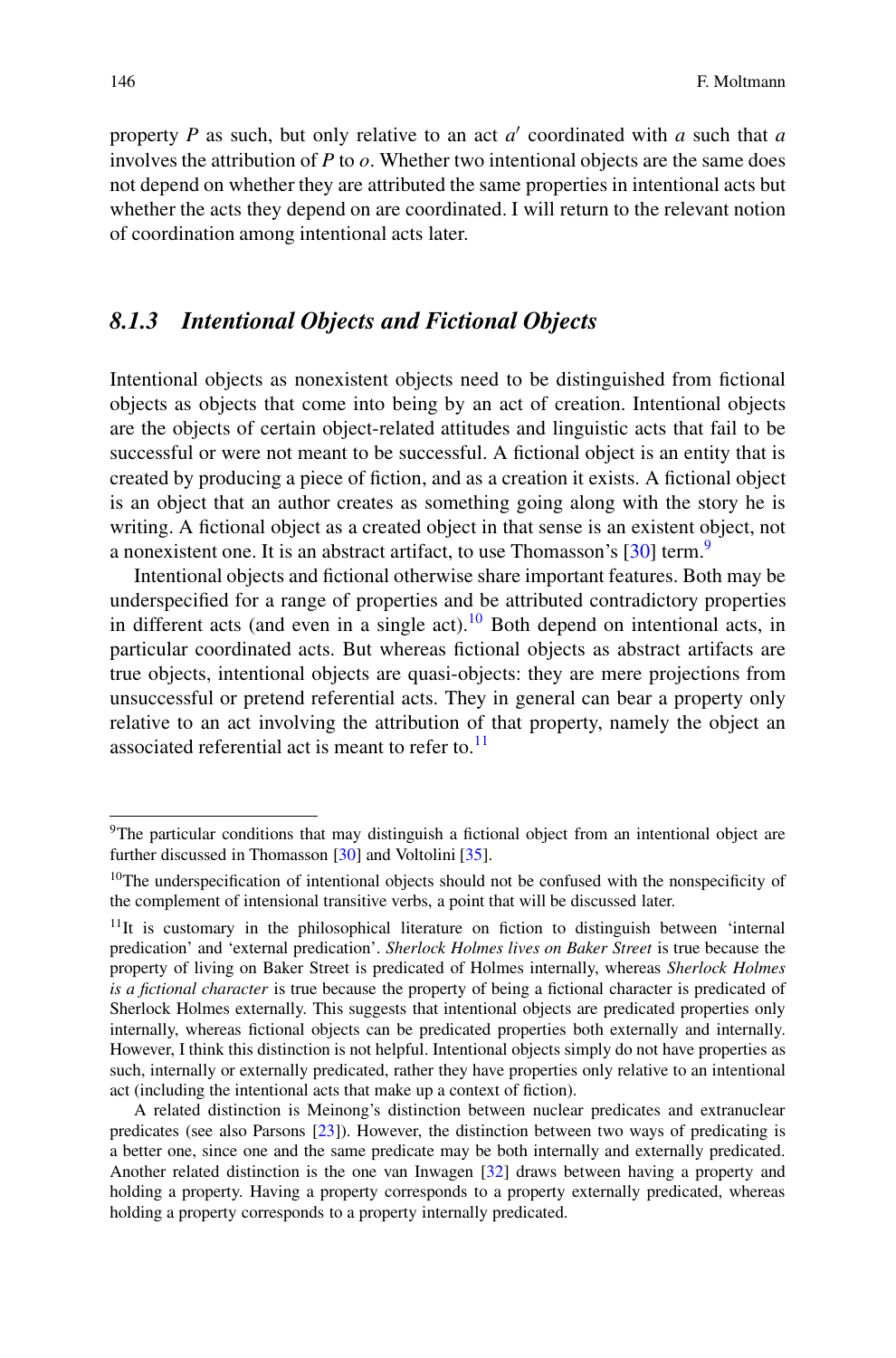property *P* as such, but only relative to an act  $a'$  coordinated with  $a$  such that  $a$ involves the attribution of *P* to *o*. Whether two intentional objects are the same does not depend on whether they are attributed the same properties in intentional acts but whether the acts they depend on are coordinated. I will return to the relevant notion of coordination among intentional acts later.

#### *8.1.3 Intentional Objects and Fictional Objects*

Intentional objects as nonexistent objects need to be distinguished from fictional objects as objects that come into being by an act of creation. Intentional objects are the objects of certain object-related attitudes and linguistic acts that fail to be successful or were not meant to be successful. A fictional object is an entity that is created by producing a piece of fiction, and as a creation it exists. A fictional object is an object that an author creates as something going along with the story he is writing. A fictional object as a created object in that sense is an existent object, not a nonexistent one. It is an abstract artifact, to use Thomasson's [\[30\]](#page-26-16) term.<sup>[9](#page-5-0)</sup>

Intentional objects and fictional otherwise share important features. Both may be underspecified for a range of properties and be attributed contradictory properties in different acts (and even in a single act).<sup>[10](#page-5-1)</sup> Both depend on intentional acts, in particular coordinated acts. But whereas fictional objects as abstract artifacts are true objects, intentional objects are quasi-objects: they are mere projections from unsuccessful or pretend referential acts. They in general can bear a property only relative to an act involving the attribution of that property, namely the object an associated referential act is meant to refer to. $\frac{11}{11}$  $\frac{11}{11}$  $\frac{11}{11}$ 

<span id="page-5-0"></span><sup>9</sup>The particular conditions that may distinguish a fictional object from an intentional object are further discussed in Thomasson [\[30\]](#page-26-16) and Voltolini [\[35\]](#page-27-1).

<span id="page-5-1"></span><sup>&</sup>lt;sup>10</sup>The underspecification of intentional objects should not be confused with the nonspecificity of the complement of intensional transitive verbs, a point that will be discussed later.

<span id="page-5-2"></span> $11$ It is customary in the philosophical literature on fiction to distinguish between 'internal predication' and 'external predication'. *Sherlock Holmes lives on Baker Street* is true because the property of living on Baker Street is predicated of Holmes internally, whereas *Sherlock Holmes is a fictional character* is true because the property of being a fictional character is predicated of Sherlock Holmes externally. This suggests that intentional objects are predicated properties only internally, whereas fictional objects can be predicated properties both externally and internally. However, I think this distinction is not helpful. Intentional objects simply do not have properties as such, internally or externally predicated, rather they have properties only relative to an intentional act (including the intentional acts that make up a context of fiction).

A related distinction is Meinong's distinction between nuclear predicates and extranuclear predicates (see also Parsons [\[23\]](#page-26-17)). However, the distinction between two ways of predicating is a better one, since one and the same predicate may be both internally and externally predicated. Another related distinction is the one van Inwagen [\[32\]](#page-26-18) draws between having a property and holding a property. Having a property corresponds to a property externally predicated, whereas holding a property corresponds to a property internally predicated.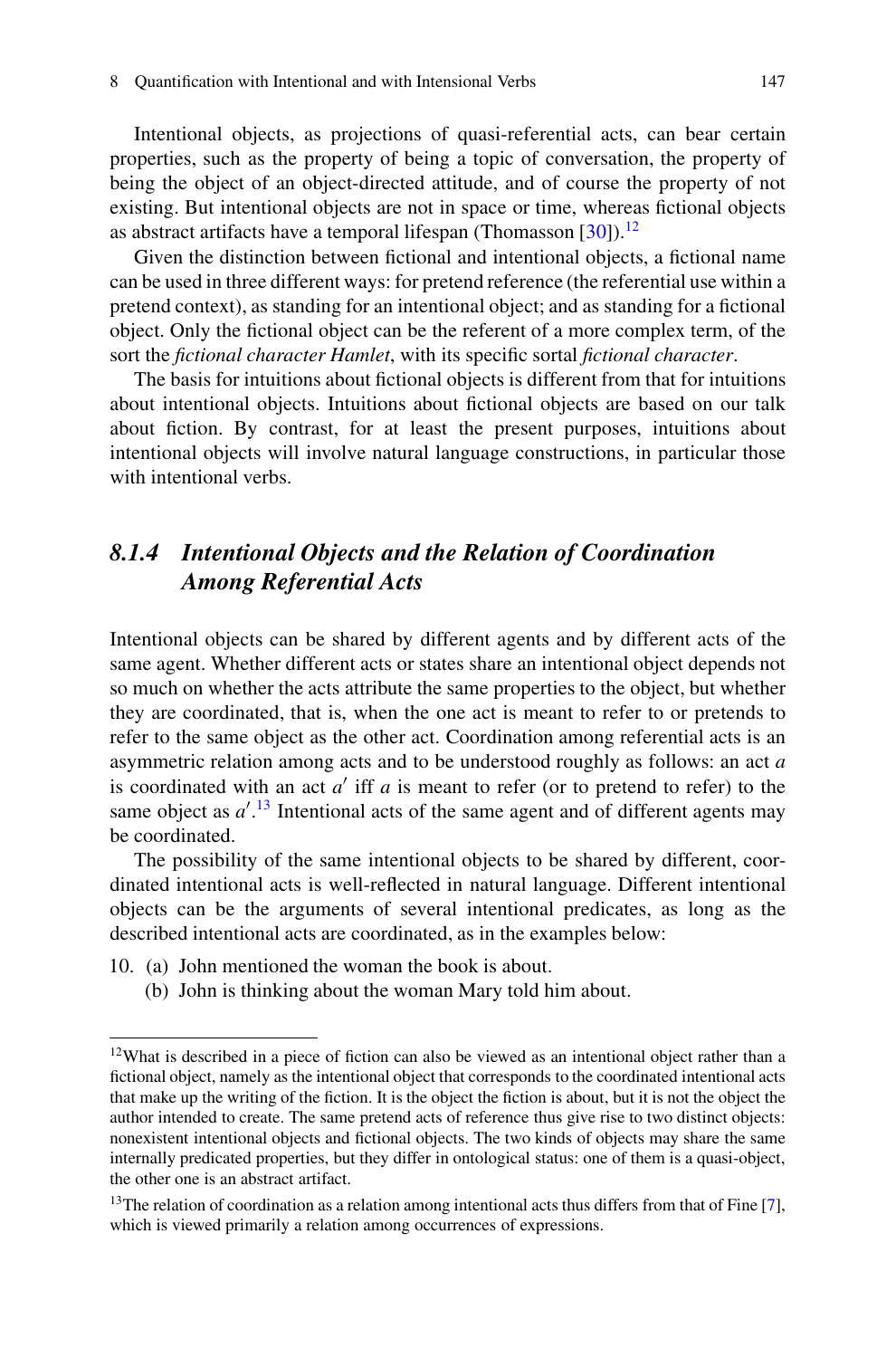Intentional objects, as projections of quasi-referential acts, can bear certain properties, such as the property of being a topic of conversation, the property of being the object of an object-directed attitude, and of course the property of not existing. But intentional objects are not in space or time, whereas fictional objects as abstract artifacts have a temporal lifespan (Thomasson  $[30]$ ).<sup>[12](#page-6-0)</sup>

Given the distinction between fictional and intentional objects, a fictional name can be used in three different ways: for pretend reference (the referential use within a pretend context), as standing for an intentional object; and as standing for a fictional object. Only the fictional object can be the referent of a more complex term, of the sort the *fictional character Hamlet*, with its specific sortal *fictional character*.

The basis for intuitions about fictional objects is different from that for intuitions about intentional objects. Intuitions about fictional objects are based on our talk about fiction. By contrast, for at least the present purposes, intuitions about intentional objects will involve natural language constructions, in particular those with intentional verbs.

# *8.1.4 Intentional Objects and the Relation of Coordination Among Referential Acts*

Intentional objects can be shared by different agents and by different acts of the same agent. Whether different acts or states share an intentional object depends not so much on whether the acts attribute the same properties to the object, but whether they are coordinated, that is, when the one act is meant to refer to or pretends to refer to the same object as the other act. Coordination among referential acts is an asymmetric relation among acts and to be understood roughly as follows: an act *a* is coordinated with an act  $a'$  iff  $a$  is meant to refer (or to pretend to refer) to the same object as  $a'.<sup>13</sup>$  $a'.<sup>13</sup>$  $a'.<sup>13</sup>$  Intentional acts of the same agent and of different agents may be coordinated.

The possibility of the same intentional objects to be shared by different, coordinated intentional acts is well-reflected in natural language. Different intentional objects can be the arguments of several intentional predicates, as long as the described intentional acts are coordinated, as in the examples below:

- 10. (a) John mentioned the woman the book is about.
	- (b) John is thinking about the woman Mary told him about.

<span id="page-6-0"></span><sup>&</sup>lt;sup>12</sup>What is described in a piece of fiction can also be viewed as an intentional object rather than a fictional object, namely as the intentional object that corresponds to the coordinated intentional acts that make up the writing of the fiction. It is the object the fiction is about, but it is not the object the author intended to create. The same pretend acts of reference thus give rise to two distinct objects: nonexistent intentional objects and fictional objects. The two kinds of objects may share the same internally predicated properties, but they differ in ontological status: one of them is a quasi-object, the other one is an abstract artifact.

<span id="page-6-1"></span><sup>&</sup>lt;sup>13</sup>The relation of coordination as a relation among intentional acts thus differs from that of Fine  $[7]$ , which is viewed primarily a relation among occurrences of expressions.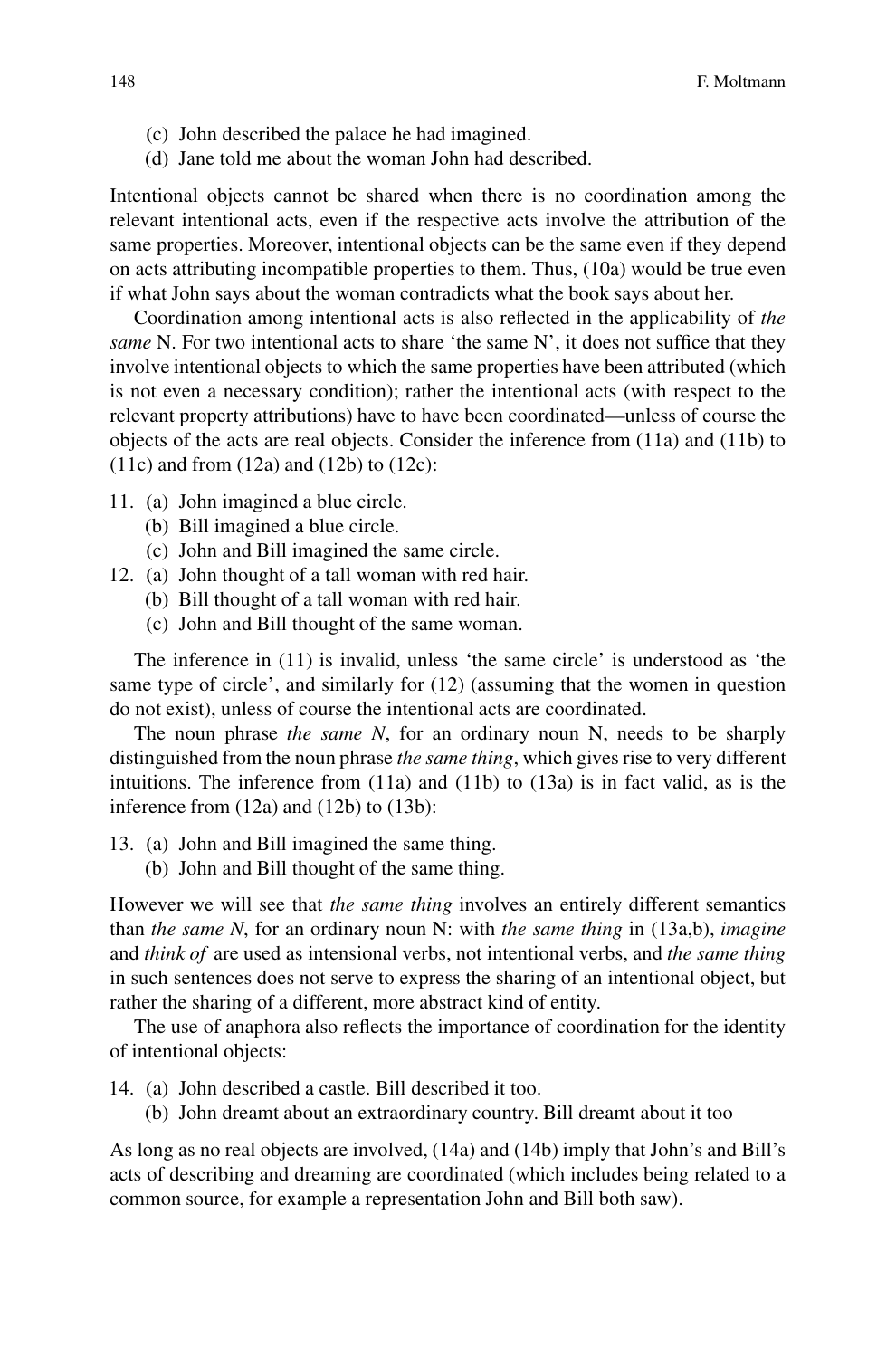- (c) John described the palace he had imagined.
- (d) Jane told me about the woman John had described.

Intentional objects cannot be shared when there is no coordination among the relevant intentional acts, even if the respective acts involve the attribution of the same properties. Moreover, intentional objects can be the same even if they depend on acts attributing incompatible properties to them. Thus, (10a) would be true even if what John says about the woman contradicts what the book says about her.

Coordination among intentional acts is also reflected in the applicability of *the same* N. For two intentional acts to share 'the same N', it does not suffice that they involve intentional objects to which the same properties have been attributed (which is not even a necessary condition); rather the intentional acts (with respect to the relevant property attributions) have to have been coordinated—unless of course the objects of the acts are real objects. Consider the inference from (11a) and (11b) to (11c) and from (12a) and (12b) to (12c):

- 11. (a) John imagined a blue circle.
	- (b) Bill imagined a blue circle.
	- (c) John and Bill imagined the same circle.
- 12. (a) John thought of a tall woman with red hair.
	- (b) Bill thought of a tall woman with red hair.
	- (c) John and Bill thought of the same woman.

The inference in (11) is invalid, unless 'the same circle' is understood as 'the same type of circle', and similarly for (12) (assuming that the women in question do not exist), unless of course the intentional acts are coordinated.

The noun phrase *the same N*, for an ordinary noun N, needs to be sharply distinguished from the noun phrase *the same thing*, which gives rise to very different intuitions. The inference from (11a) and (11b) to (13a) is in fact valid, as is the inference from (12a) and (12b) to (13b):

- 13. (a) John and Bill imagined the same thing.
	- (b) John and Bill thought of the same thing.

However we will see that *the same thing* involves an entirely different semantics than *the same N*, for an ordinary noun N: with *the same thing* in (13a,b), *imagine* and *think of* are used as intensional verbs, not intentional verbs, and *the same thing* in such sentences does not serve to express the sharing of an intentional object, but rather the sharing of a different, more abstract kind of entity.

The use of anaphora also reflects the importance of coordination for the identity of intentional objects:

- 14. (a) John described a castle. Bill described it too.
	- (b) John dreamt about an extraordinary country. Bill dreamt about it too

As long as no real objects are involved, (14a) and (14b) imply that John's and Bill's acts of describing and dreaming are coordinated (which includes being related to a common source, for example a representation John and Bill both saw).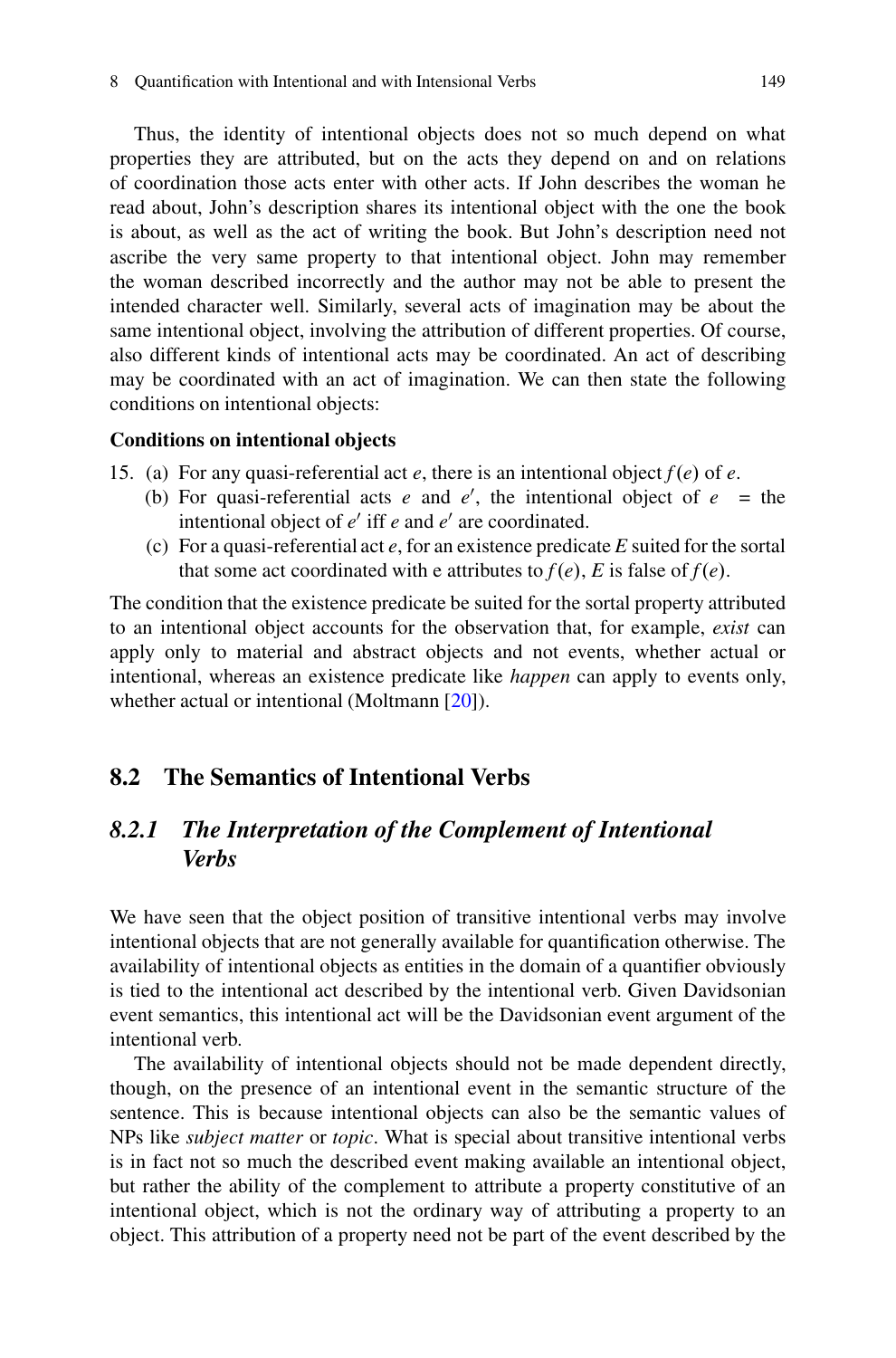Thus, the identity of intentional objects does not so much depend on what properties they are attributed, but on the acts they depend on and on relations of coordination those acts enter with other acts. If John describes the woman he read about, John's description shares its intentional object with the one the book is about, as well as the act of writing the book. But John's description need not ascribe the very same property to that intentional object. John may remember the woman described incorrectly and the author may not be able to present the intended character well. Similarly, several acts of imagination may be about the same intentional object, involving the attribution of different properties. Of course, also different kinds of intentional acts may be coordinated. An act of describing may be coordinated with an act of imagination. We can then state the following conditions on intentional objects:

#### **Conditions on intentional objects**

- 15. (a) For any quasi-referential act  $e$ , there is an intentional object  $f(e)$  of  $e$ .
	- (b) For quasi-referential acts *e* and  $e'$ , the intentional object of  $e =$  the intentional object of *e'* iff *e* and *e'* are coordinated.
	- (c) For a quasi-referential act *e*, for an existence predicate *E* suited for the sortal that some act coordinated with e attributes to  $f(e)$ , *E* is false of  $f(e)$ .

The condition that the existence predicate be suited for the sortal property attributed to an intentional object accounts for the observation that, for example, *exist* can apply only to material and abstract objects and not events, whether actual or intentional, whereas an existence predicate like *happen* can apply to events only, whether actual or intentional (Moltmann [\[20\]](#page-26-8)).

#### **8.2 The Semantics of Intentional Verbs**

# *8.2.1 The Interpretation of the Complement of Intentional Verbs*

We have seen that the object position of transitive intentional verbs may involve intentional objects that are not generally available for quantification otherwise. The availability of intentional objects as entities in the domain of a quantifier obviously is tied to the intentional act described by the intentional verb. Given Davidsonian event semantics, this intentional act will be the Davidsonian event argument of the intentional verb.

The availability of intentional objects should not be made dependent directly, though, on the presence of an intentional event in the semantic structure of the sentence. This is because intentional objects can also be the semantic values of NPs like *subject matter* or *topic*. What is special about transitive intentional verbs is in fact not so much the described event making available an intentional object, but rather the ability of the complement to attribute a property constitutive of an intentional object, which is not the ordinary way of attributing a property to an object. This attribution of a property need not be part of the event described by the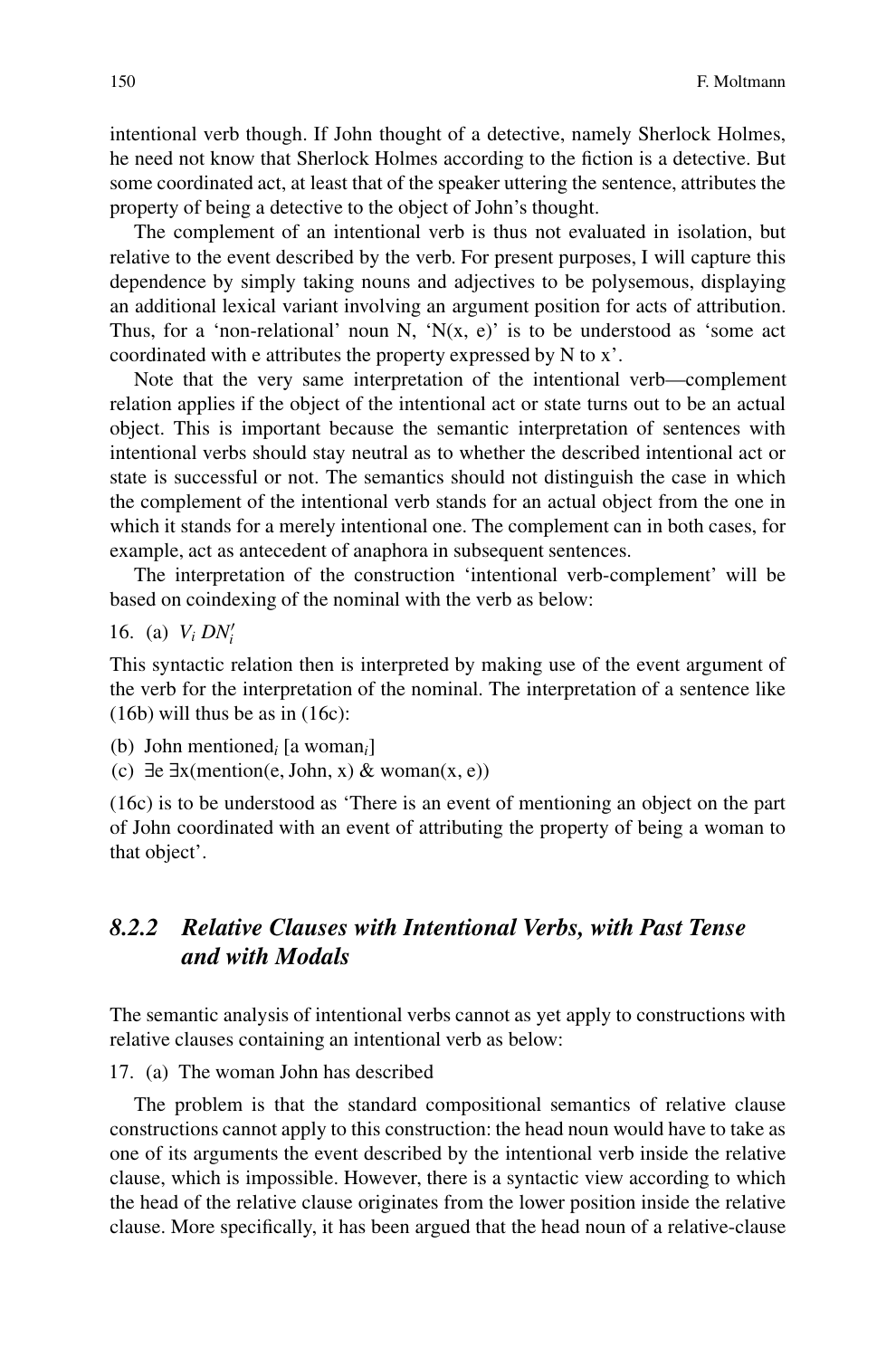intentional verb though. If John thought of a detective, namely Sherlock Holmes, he need not know that Sherlock Holmes according to the fiction is a detective. But some coordinated act, at least that of the speaker uttering the sentence, attributes the property of being a detective to the object of John's thought.

The complement of an intentional verb is thus not evaluated in isolation, but relative to the event described by the verb. For present purposes, I will capture this dependence by simply taking nouns and adjectives to be polysemous, displaying an additional lexical variant involving an argument position for acts of attribution. Thus, for a 'non-relational' noun N,  $N(x, e)$ ' is to be understood as 'some act coordinated with e attributes the property expressed by N to x'.

Note that the very same interpretation of the intentional verb—complement relation applies if the object of the intentional act or state turns out to be an actual object. This is important because the semantic interpretation of sentences with intentional verbs should stay neutral as to whether the described intentional act or state is successful or not. The semantics should not distinguish the case in which the complement of the intentional verb stands for an actual object from the one in which it stands for a merely intentional one. The complement can in both cases, for example, act as antecedent of anaphora in subsequent sentences.

The interpretation of the construction 'intentional verb-complement' will be based on coindexing of the nominal with the verb as below:

16. (a)  $V_i DN_i'$ 

This syntactic relation then is interpreted by making use of the event argument of the verb for the interpretation of the nominal. The interpretation of a sentence like (16b) will thus be as in (16c):

(b) John mentioned*<sup>i</sup>* [a woman*i*]

(c)  $\exists e \exists x (mentioned, John, x) \& woman(x, e))$ 

(16c) is to be understood as 'There is an event of mentioning an object on the part of John coordinated with an event of attributing the property of being a woman to that object'.

## *8.2.2 Relative Clauses with Intentional Verbs, with Past Tense and with Modals*

The semantic analysis of intentional verbs cannot as yet apply to constructions with relative clauses containing an intentional verb as below:

17. (a) The woman John has described

The problem is that the standard compositional semantics of relative clause constructions cannot apply to this construction: the head noun would have to take as one of its arguments the event described by the intentional verb inside the relative clause, which is impossible. However, there is a syntactic view according to which the head of the relative clause originates from the lower position inside the relative clause. More specifically, it has been argued that the head noun of a relative-clause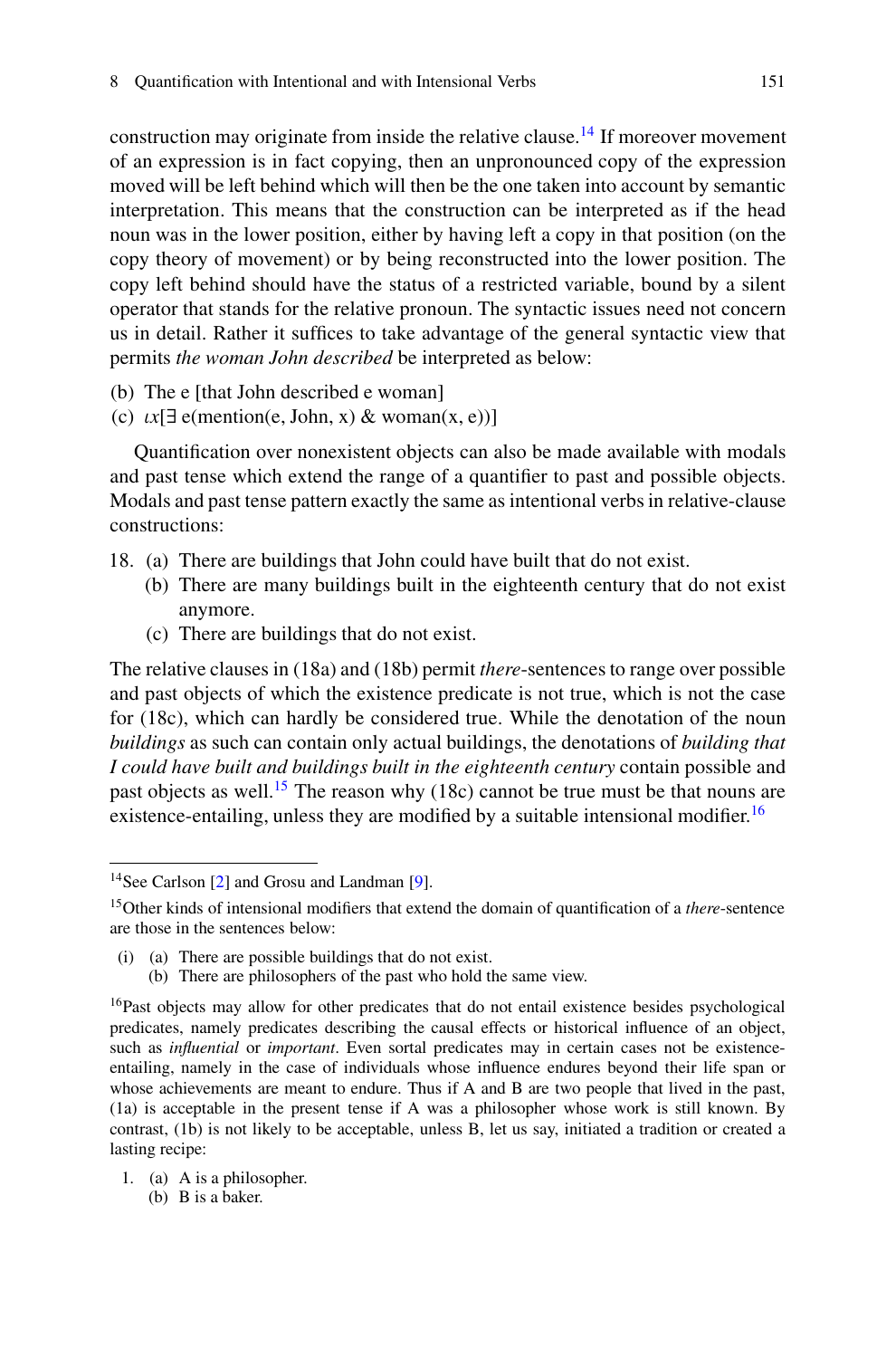construction may originate from inside the relative clause.<sup>[14](#page-10-0)</sup> If moreover movement of an expression is in fact copying, then an unpronounced copy of the expression moved will be left behind which will then be the one taken into account by semantic interpretation. This means that the construction can be interpreted as if the head noun was in the lower position, either by having left a copy in that position (on the copy theory of movement) or by being reconstructed into the lower position. The copy left behind should have the status of a restricted variable, bound by a silent operator that stands for the relative pronoun. The syntactic issues need not concern us in detail. Rather it suffices to take advantage of the general syntactic view that permits *the woman John described* be interpreted as below:

- (b) The e [that John described e woman]
- (c)  $\iota x[\exists$  e(mention(e, John, x) & woman(x, e))]

Quantification over nonexistent objects can also be made available with modals and past tense which extend the range of a quantifier to past and possible objects. Modals and past tense pattern exactly the same as intentional verbs in relative-clause constructions:

- 18. (a) There are buildings that John could have built that do not exist.
	- (b) There are many buildings built in the eighteenth century that do not exist anymore.
	- (c) There are buildings that do not exist.

The relative clauses in (18a) and (18b) permit *there*-sentences to range over possible and past objects of which the existence predicate is not true, which is not the case for (18c), which can hardly be considered true. While the denotation of the noun *buildings* as such can contain only actual buildings, the denotations of *building that I could have built and buildings built in the eighteenth century* contain possible and past objects as well.<sup>[15](#page-10-1)</sup> The reason why  $(18c)$  cannot be true must be that nouns are existence-entailing, unless they are modified by a suitable intensional modifier.<sup>16</sup>

1. (a) A is a philosopher.

(b) B is a baker.

<span id="page-10-0"></span><sup>&</sup>lt;sup>14</sup>See Carlson [\[2\]](#page-26-20) and Grosu and Landman [\[9\]](#page-26-21).

<span id="page-10-1"></span><sup>15</sup>Other kinds of intensional modifiers that extend the domain of quantification of a *there*-sentence are those in the sentences below:

<sup>(</sup>i) (a) There are possible buildings that do not exist.

<sup>(</sup>b) There are philosophers of the past who hold the same view.

<span id="page-10-2"></span><sup>&</sup>lt;sup>16</sup>Past objects may allow for other predicates that do not entail existence besides psychological predicates, namely predicates describing the causal effects or historical influence of an object, such as *influential* or *important*. Even sortal predicates may in certain cases not be existenceentailing, namely in the case of individuals whose influence endures beyond their life span or whose achievements are meant to endure. Thus if A and B are two people that lived in the past, (1a) is acceptable in the present tense if A was a philosopher whose work is still known. By contrast, (1b) is not likely to be acceptable, unless B, let us say, initiated a tradition or created a lasting recipe: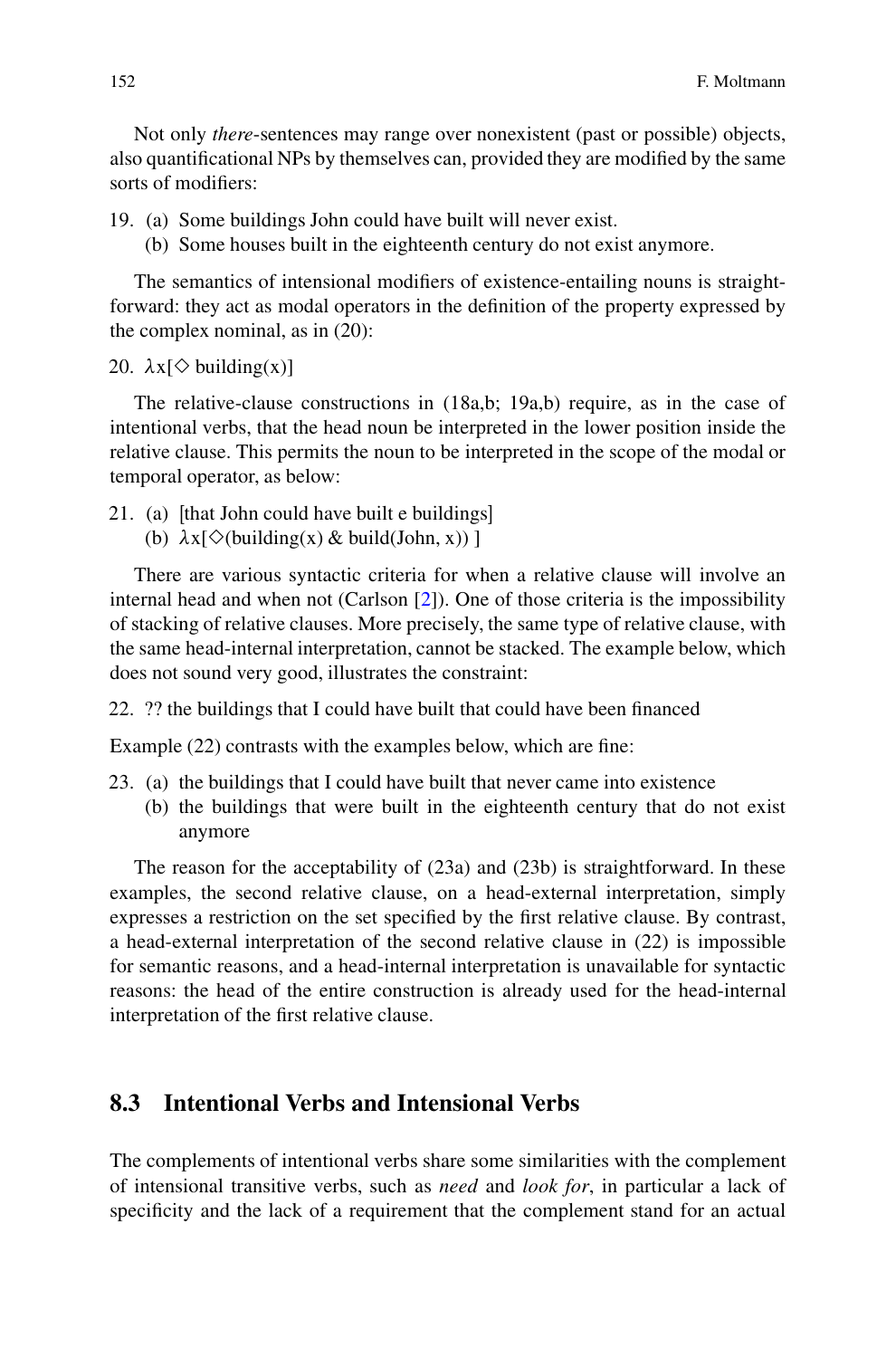Not only *there*-sentences may range over nonexistent (past or possible) objects, also quantificational NPs by themselves can, provided they are modified by the same sorts of modifiers:

- 19. (a) Some buildings John could have built will never exist.
	- (b) Some houses built in the eighteenth century do not exist anymore.

The semantics of intensional modifiers of existence-entailing nouns is straightforward: they act as modal operators in the definition of the property expressed by the complex nominal, as in (20):

20.  $\lambda x \sim$  building(x)]

The relative-clause constructions in (18a,b; 19a,b) require, as in the case of intentional verbs, that the head noun be interpreted in the lower position inside the relative clause. This permits the noun to be interpreted in the scope of the modal or temporal operator, as below:

- 21. (a) [that John could have built e buildings]
	- (b)  $\lambda x[\diamondsuit(\text{building}(x) \& \text{build(John, x)})]$

There are various syntactic criteria for when a relative clause will involve an internal head and when not (Carlson [\[2\]](#page-26-20)). One of those criteria is the impossibility of stacking of relative clauses. More precisely, the same type of relative clause, with the same head-internal interpretation, cannot be stacked. The example below, which does not sound very good, illustrates the constraint:

22. ?? the buildings that I could have built that could have been financed

Example (22) contrasts with the examples below, which are fine:

- 23. (a) the buildings that I could have built that never came into existence
	- (b) the buildings that were built in the eighteenth century that do not exist anymore

The reason for the acceptability of (23a) and (23b) is straightforward. In these examples, the second relative clause, on a head-external interpretation, simply expresses a restriction on the set specified by the first relative clause. By contrast, a head-external interpretation of the second relative clause in (22) is impossible for semantic reasons, and a head-internal interpretation is unavailable for syntactic reasons: the head of the entire construction is already used for the head-internal interpretation of the first relative clause.

# **8.3 Intentional Verbs and Intensional Verbs**

The complements of intentional verbs share some similarities with the complement of intensional transitive verbs, such as *need* and *look for*, in particular a lack of specificity and the lack of a requirement that the complement stand for an actual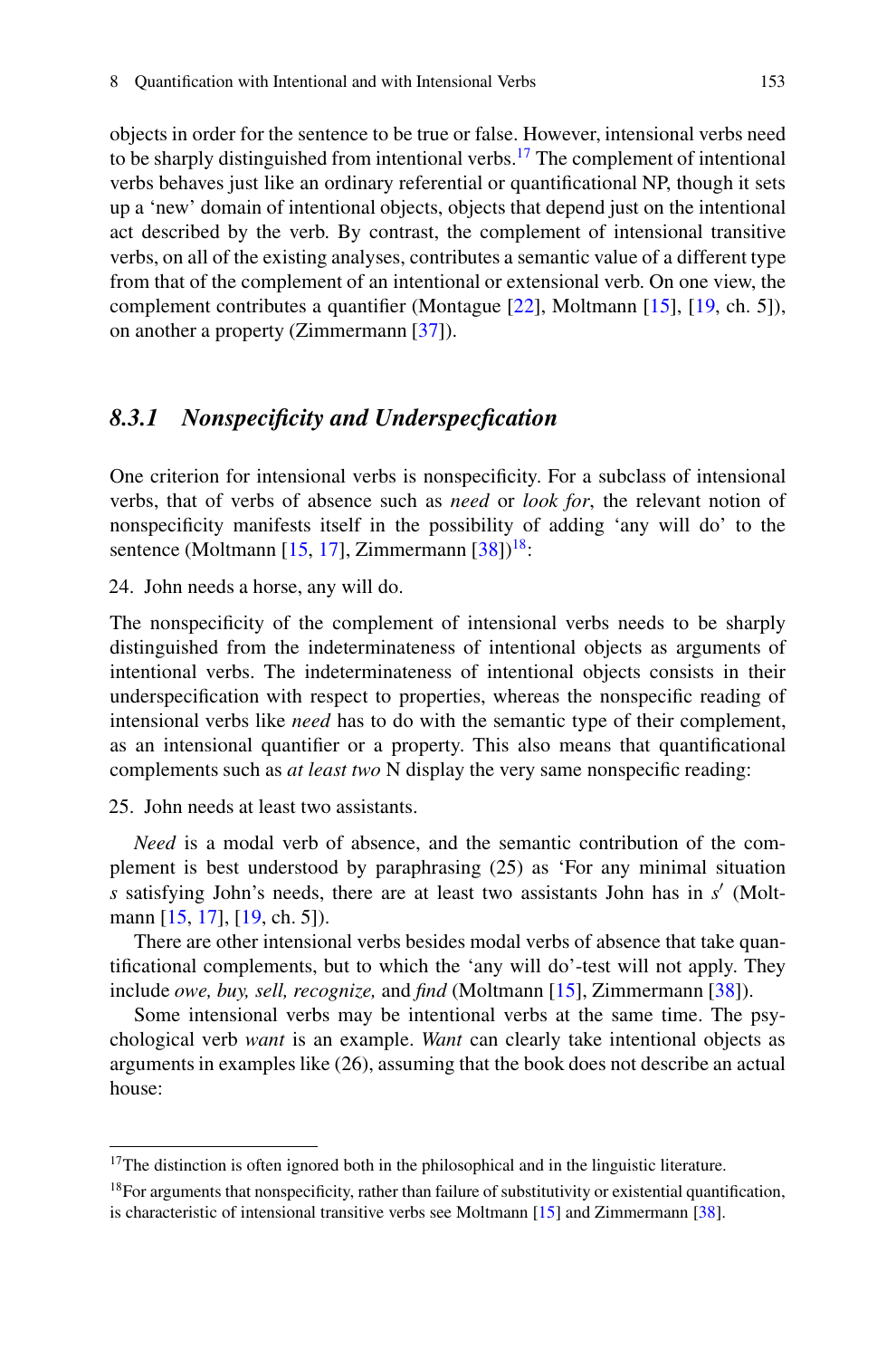objects in order for the sentence to be true or false. However, intensional verbs need to be sharply distinguished from intentional verbs.<sup>17</sup> The complement of intentional verbs behaves just like an ordinary referential or quantificational NP, though it sets up a 'new' domain of intentional objects, objects that depend just on the intentional act described by the verb. By contrast, the complement of intensional transitive verbs, on all of the existing analyses, contributes a semantic value of a different type from that of the complement of an intentional or extensional verb. On one view, the complement contributes a quantifier (Montague [\[22\]](#page-26-22), Moltmann [\[15\]](#page-26-23), [\[19,](#page-26-24) ch. 5]), on another a property (Zimmermann [\[37\]](#page-27-2)).

#### *8.3.1 Nonspecificity and Underspecfication*

One criterion for intensional verbs is nonspecificity. For a subclass of intensional verbs, that of verbs of absence such as *need* or *look for*, the relevant notion of nonspecificity manifests itself in the possibility of adding 'any will do' to the sentence (Moltmann [\[15,](#page-26-23) [17\]](#page-26-25), Zimmermann  $[38]$ <sup>18</sup>:

24. John needs a horse, any will do.

The nonspecificity of the complement of intensional verbs needs to be sharply distinguished from the indeterminateness of intentional objects as arguments of intentional verbs. The indeterminateness of intentional objects consists in their underspecification with respect to properties, whereas the nonspecific reading of intensional verbs like *need* has to do with the semantic type of their complement, as an intensional quantifier or a property. This also means that quantificational complements such as *at least two* N display the very same nonspecific reading:

25. John needs at least two assistants.

*Need* is a modal verb of absence, and the semantic contribution of the complement is best understood by paraphrasing (25) as 'For any minimal situation *s* satisfying John's needs, there are at least two assistants John has in *s'* (Molt-mann [\[15,](#page-26-23) [17\]](#page-26-25), [\[19,](#page-26-24) ch. 5]).

There are other intensional verbs besides modal verbs of absence that take quantificational complements, but to which the 'any will do'-test will not apply. They include *owe, buy, sell, recognize,* and *find* (Moltmann [\[15\]](#page-26-23), Zimmermann [\[38\]](#page-27-3)).

Some intensional verbs may be intentional verbs at the same time. The psychological verb *want* is an example. *Want* can clearly take intentional objects as arguments in examples like (26), assuming that the book does not describe an actual house:

<span id="page-12-0"></span> $17$ The distinction is often ignored both in the philosophical and in the linguistic literature.

<span id="page-12-1"></span> $18$ For arguments that nonspecificity, rather than failure of substitutivity or existential quantification, is characteristic of intensional transitive verbs see Moltmann [\[15\]](#page-26-23) and Zimmermann [\[38\]](#page-27-3).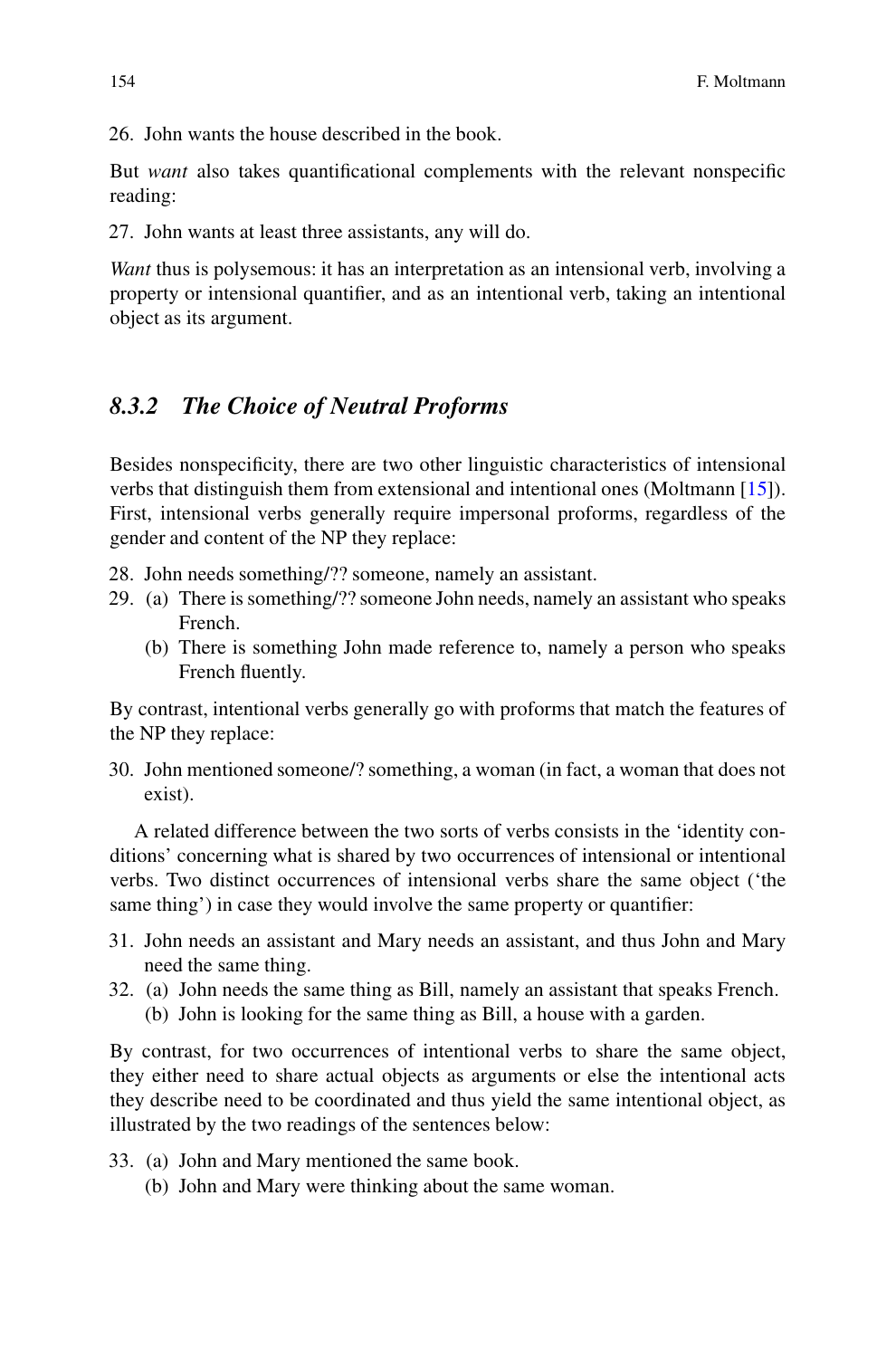26. John wants the house described in the book.

But *want* also takes quantificational complements with the relevant nonspecific reading:

27. John wants at least three assistants, any will do.

*Want* thus is polysemous: it has an interpretation as an intensional verb, involving a property or intensional quantifier, and as an intentional verb, taking an intentional object as its argument.

#### *8.3.2 The Choice of Neutral Proforms*

Besides nonspecificity, there are two other linguistic characteristics of intensional verbs that distinguish them from extensional and intentional ones (Moltmann [\[15\]](#page-26-23)). First, intensional verbs generally require impersonal proforms, regardless of the gender and content of the NP they replace:

- 28. John needs something/?? someone, namely an assistant.
- 29. (a) There is something/?? someone John needs, namely an assistant who speaks French.
	- (b) There is something John made reference to, namely a person who speaks French fluently.

By contrast, intentional verbs generally go with proforms that match the features of the NP they replace:

30. John mentioned someone/? something, a woman (in fact, a woman that does not exist).

A related difference between the two sorts of verbs consists in the 'identity conditions' concerning what is shared by two occurrences of intensional or intentional verbs. Two distinct occurrences of intensional verbs share the same object ('the same thing') in case they would involve the same property or quantifier:

- 31. John needs an assistant and Mary needs an assistant, and thus John and Mary need the same thing.
- 32. (a) John needs the same thing as Bill, namely an assistant that speaks French. (b) John is looking for the same thing as Bill, a house with a garden.

By contrast, for two occurrences of intentional verbs to share the same object, they either need to share actual objects as arguments or else the intentional acts they describe need to be coordinated and thus yield the same intentional object, as illustrated by the two readings of the sentences below:

- 33. (a) John and Mary mentioned the same book.
	- (b) John and Mary were thinking about the same woman.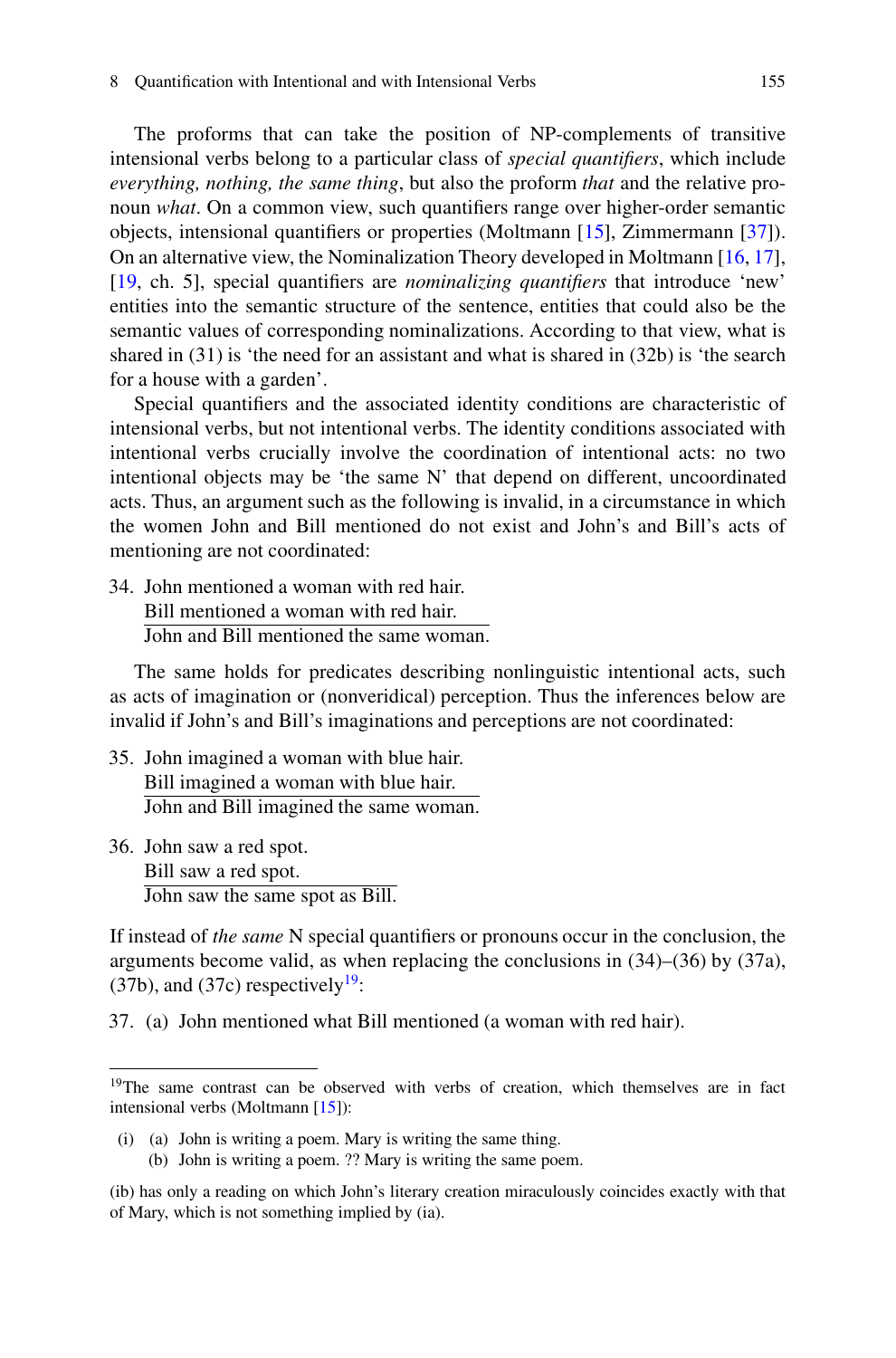The proforms that can take the position of NP-complements of transitive intensional verbs belong to a particular class of *special quantifiers*, which include *everything, nothing, the same thing*, but also the proform *that* and the relative pronoun *what*. On a common view, such quantifiers range over higher-order semantic objects, intensional quantifiers or properties (Moltmann [\[15\]](#page-26-23), Zimmermann [\[37\]](#page-27-2)). On an alternative view, the Nominalization Theory developed in Moltmann [\[16,](#page-26-26) [17\]](#page-26-25), [\[19,](#page-26-24) ch. 5], special quantifiers are *nominalizing quantifiers* that introduce 'new' entities into the semantic structure of the sentence, entities that could also be the semantic values of corresponding nominalizations. According to that view, what is shared in (31) is 'the need for an assistant and what is shared in (32b) is 'the search for a house with a garden'.

Special quantifiers and the associated identity conditions are characteristic of intensional verbs, but not intentional verbs. The identity conditions associated with intentional verbs crucially involve the coordination of intentional acts: no two intentional objects may be 'the same N' that depend on different, uncoordinated acts. Thus, an argument such as the following is invalid, in a circumstance in which the women John and Bill mentioned do not exist and John's and Bill's acts of mentioning are not coordinated:

34. John mentioned a woman with red hair. Bill mentioned a woman with red hair. John and Bill mentioned the same woman.

The same holds for predicates describing nonlinguistic intentional acts, such as acts of imagination or (nonveridical) perception. Thus the inferences below are invalid if John's and Bill's imaginations and perceptions are not coordinated:

- 35. John imagined a woman with blue hair. Bill imagined a woman with blue hair. John and Bill imagined the same woman.
- 36. John saw a red spot. Bill saw a red spot. John saw the same spot as Bill.

If instead of *the same* N special quantifiers or pronouns occur in the conclusion, the arguments become valid, as when replacing the conclusions in (34)–(36) by (37a), (37b), and (37c) respectively<sup>19</sup>:

37. (a) John mentioned what Bill mentioned (a woman with red hair).

- (i) (a) John is writing a poem. Mary is writing the same thing.
	- (b) John is writing a poem. ?? Mary is writing the same poem.

<span id="page-14-0"></span><sup>&</sup>lt;sup>19</sup>The same contrast can be observed with verbs of creation, which themselves are in fact intensional verbs (Moltmann [\[15\]](#page-26-23)):

<sup>(</sup>ib) has only a reading on which John's literary creation miraculously coincides exactly with that of Mary, which is not something implied by (ia).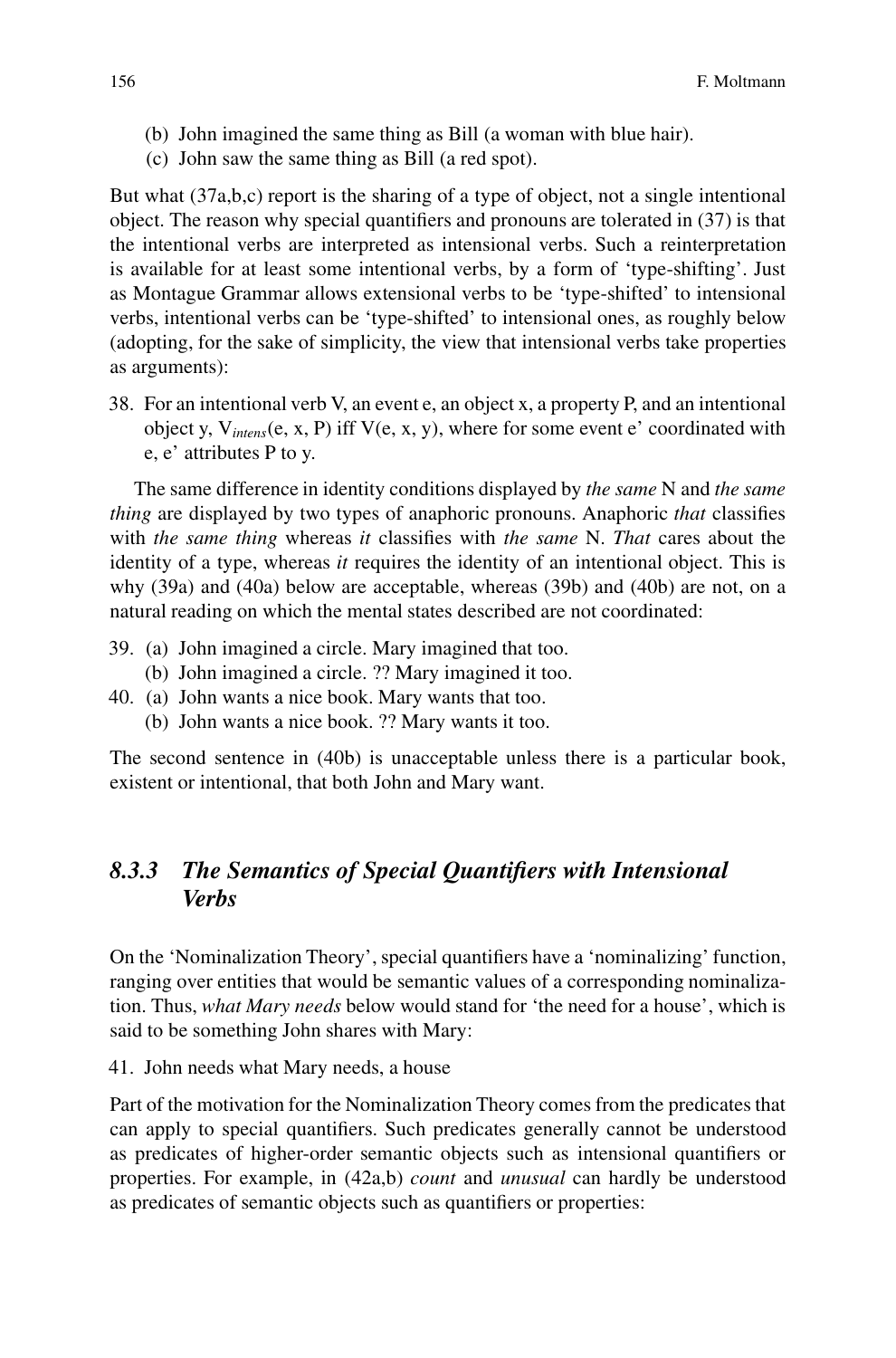- (b) John imagined the same thing as Bill (a woman with blue hair).
- (c) John saw the same thing as Bill (a red spot).

But what (37a,b,c) report is the sharing of a type of object, not a single intentional object. The reason why special quantifiers and pronouns are tolerated in (37) is that the intentional verbs are interpreted as intensional verbs. Such a reinterpretation is available for at least some intentional verbs, by a form of 'type-shifting'. Just as Montague Grammar allows extensional verbs to be 'type-shifted' to intensional verbs, intentional verbs can be 'type-shifted' to intensional ones, as roughly below (adopting, for the sake of simplicity, the view that intensional verbs take properties as arguments):

38. For an intentional verb V, an event e, an object x, a property P, and an intentional object y, V*intens*(e, x, P) iff V(e, x, y), where for some event e' coordinated with e, e' attributes P to y.

The same difference in identity conditions displayed by *the same* N and *the same thing* are displayed by two types of anaphoric pronouns. Anaphoric *that* classifies with *the same thing* whereas *it* classifies with *the same* N. *That* cares about the identity of a type, whereas *it* requires the identity of an intentional object. This is why (39a) and (40a) below are acceptable, whereas (39b) and (40b) are not, on a natural reading on which the mental states described are not coordinated:

- 39. (a) John imagined a circle. Mary imagined that too.
- (b) John imagined a circle. ?? Mary imagined it too.
- 40. (a) John wants a nice book. Mary wants that too.
	- (b) John wants a nice book. ?? Mary wants it too.

The second sentence in (40b) is unacceptable unless there is a particular book, existent or intentional, that both John and Mary want.

# *8.3.3 The Semantics of Special Quantifiers with Intensional Verbs*

On the 'Nominalization Theory', special quantifiers have a 'nominalizing' function, ranging over entities that would be semantic values of a corresponding nominalization. Thus, *what Mary needs* below would stand for 'the need for a house', which is said to be something John shares with Mary:

41. John needs what Mary needs, a house

Part of the motivation for the Nominalization Theory comes from the predicates that can apply to special quantifiers. Such predicates generally cannot be understood as predicates of higher-order semantic objects such as intensional quantifiers or properties. For example, in (42a,b) *count* and *unusual* can hardly be understood as predicates of semantic objects such as quantifiers or properties: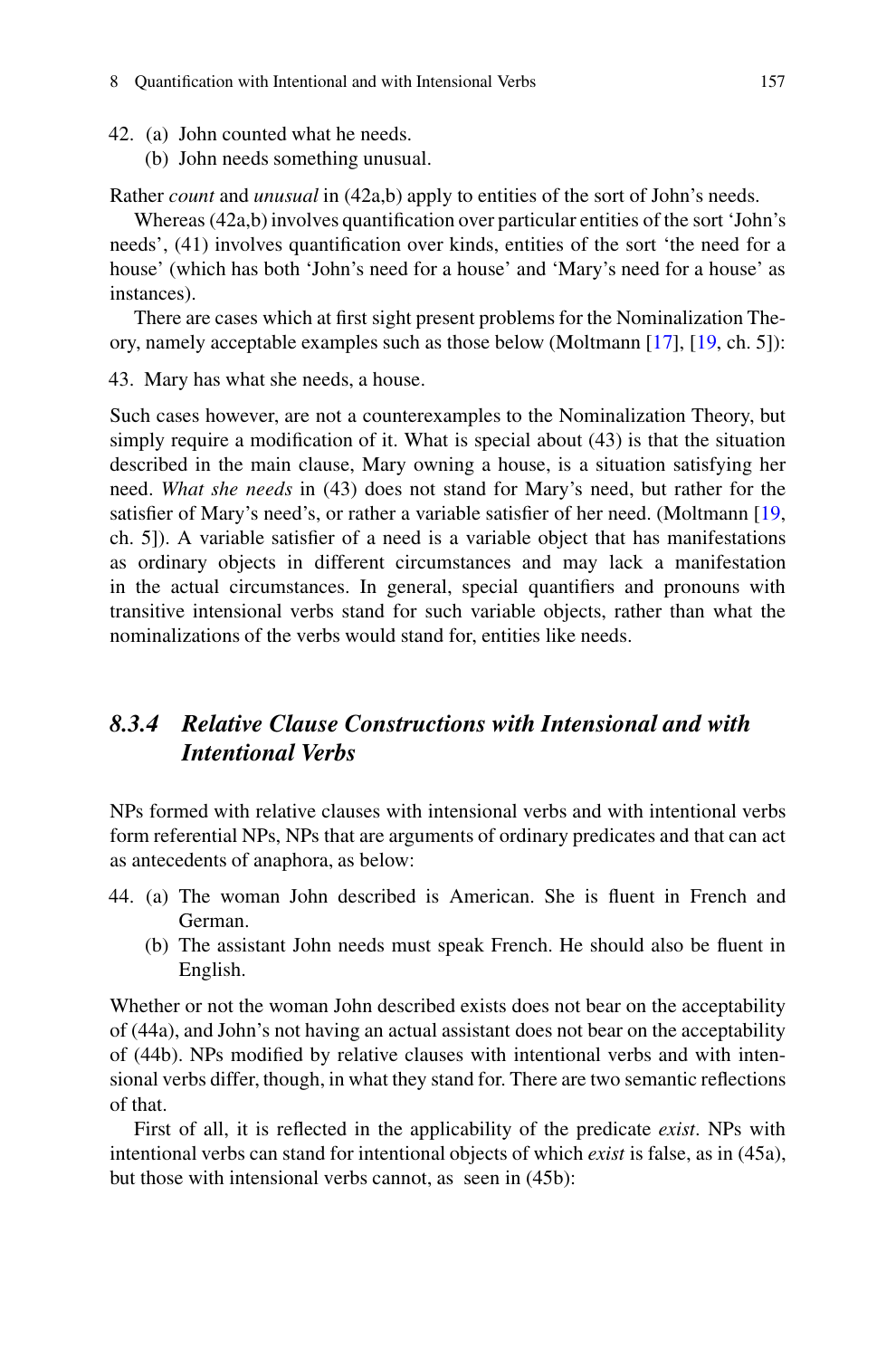- 42. (a) John counted what he needs.
	- (b) John needs something unusual.

Rather *count* and *unusual* in (42a,b) apply to entities of the sort of John's needs.

Whereas (42a,b) involves quantification over particular entities of the sort 'John's needs', (41) involves quantification over kinds, entities of the sort 'the need for a house' (which has both 'John's need for a house' and 'Mary's need for a house' as instances).

There are cases which at first sight present problems for the Nominalization Theory, namely acceptable examples such as those below (Moltmann [\[17\]](#page-26-25), [\[19,](#page-26-24) ch. 5]):

43. Mary has what she needs, a house.

Such cases however, are not a counterexamples to the Nominalization Theory, but simply require a modification of it. What is special about (43) is that the situation described in the main clause, Mary owning a house, is a situation satisfying her need. *What she needs* in (43) does not stand for Mary's need, but rather for the satisfier of Mary's need's, or rather a variable satisfier of her need. (Moltmann [\[19,](#page-26-24) ch. 5]). A variable satisfier of a need is a variable object that has manifestations as ordinary objects in different circumstances and may lack a manifestation in the actual circumstances. In general, special quantifiers and pronouns with transitive intensional verbs stand for such variable objects, rather than what the nominalizations of the verbs would stand for, entities like needs.

# *8.3.4 Relative Clause Constructions with Intensional and with Intentional Verbs*

NPs formed with relative clauses with intensional verbs and with intentional verbs form referential NPs, NPs that are arguments of ordinary predicates and that can act as antecedents of anaphora, as below:

- 44. (a) The woman John described is American. She is fluent in French and German.
	- (b) The assistant John needs must speak French. He should also be fluent in English.

Whether or not the woman John described exists does not bear on the acceptability of (44a), and John's not having an actual assistant does not bear on the acceptability of (44b). NPs modified by relative clauses with intentional verbs and with intensional verbs differ, though, in what they stand for. There are two semantic reflections of that.

First of all, it is reflected in the applicability of the predicate *exist*. NPs with intentional verbs can stand for intentional objects of which *exist* is false, as in (45a), but those with intensional verbs cannot, as seen in (45b):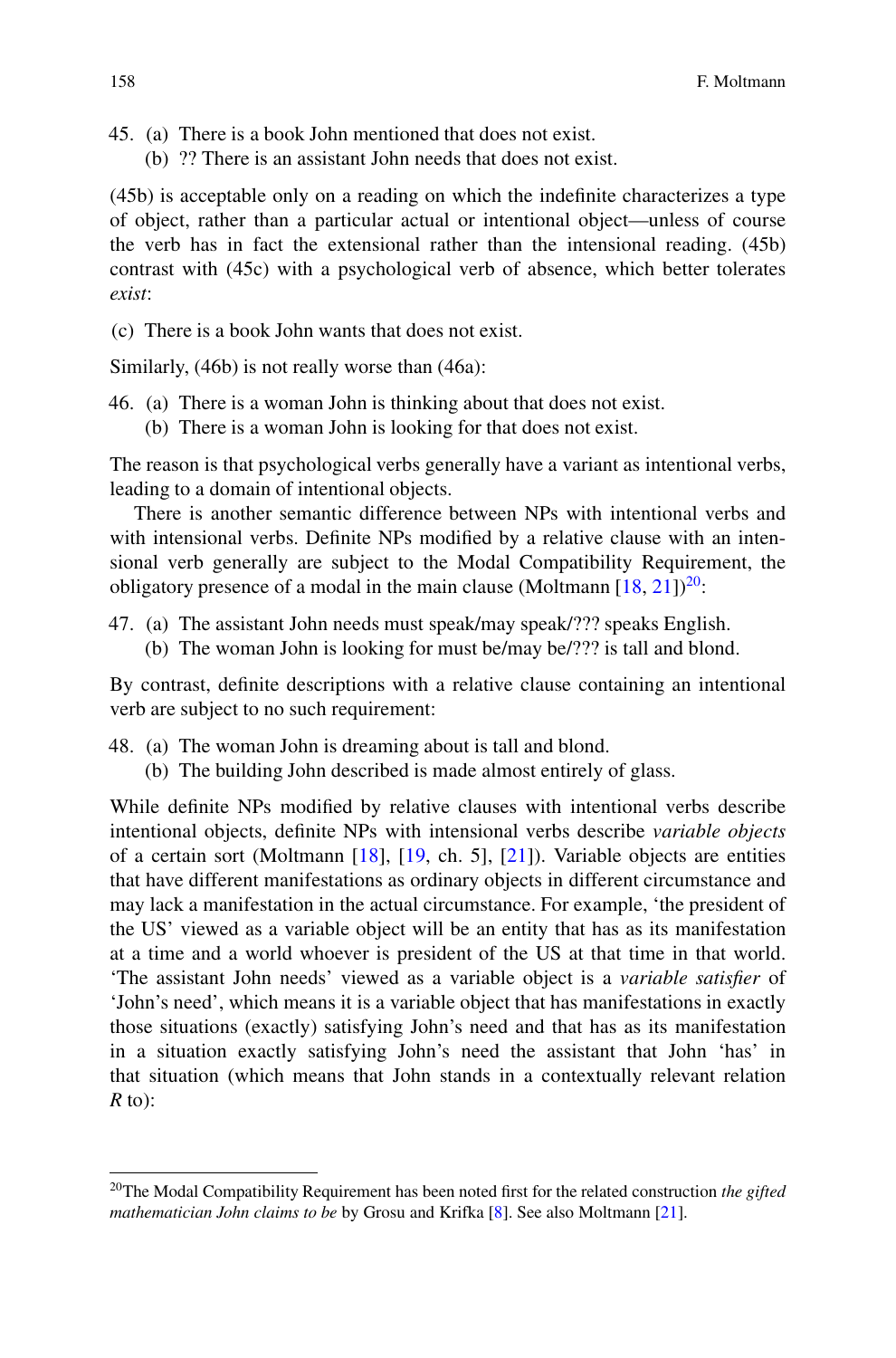- 45. (a) There is a book John mentioned that does not exist.
	- (b) ?? There is an assistant John needs that does not exist.

(45b) is acceptable only on a reading on which the indefinite characterizes a type of object, rather than a particular actual or intentional object—unless of course the verb has in fact the extensional rather than the intensional reading. (45b) contrast with (45c) with a psychological verb of absence, which better tolerates *exist*:

(c) There is a book John wants that does not exist.

Similarly, (46b) is not really worse than (46a):

- 46. (a) There is a woman John is thinking about that does not exist.
	- (b) There is a woman John is looking for that does not exist.

The reason is that psychological verbs generally have a variant as intentional verbs, leading to a domain of intentional objects.

There is another semantic difference between NPs with intentional verbs and with intensional verbs. Definite NPs modified by a relative clause with an intensional verb generally are subject to the Modal Compatibility Requirement, the obligatory presence of a modal in the main clause (Moltmann  $[18, 21]$  $[18, 21]$  $[18, 21]$ )<sup>20</sup>:

47. (a) The assistant John needs must speak/may speak/??? speaks English. (b) The woman John is looking for must be/may be/??? is tall and blond.

By contrast, definite descriptions with a relative clause containing an intentional verb are subject to no such requirement:

- 48. (a) The woman John is dreaming about is tall and blond.
	- (b) The building John described is made almost entirely of glass.

While definite NPs modified by relative clauses with intentional verbs describe intentional objects, definite NPs with intensional verbs describe *variable objects* of a certain sort (Moltmann [\[18\]](#page-26-27), [\[19,](#page-26-24) ch. 5], [\[21\]](#page-26-28)). Variable objects are entities that have different manifestations as ordinary objects in different circumstance and may lack a manifestation in the actual circumstance. For example, 'the president of the US' viewed as a variable object will be an entity that has as its manifestation at a time and a world whoever is president of the US at that time in that world. 'The assistant John needs' viewed as a variable object is a *variable satisfier* of 'John's need', which means it is a variable object that has manifestations in exactly those situations (exactly) satisfying John's need and that has as its manifestation in a situation exactly satisfying John's need the assistant that John 'has' in that situation (which means that John stands in a contextually relevant relation *R* to):

<span id="page-17-0"></span><sup>20</sup>The Modal Compatibility Requirement has been noted first for the related construction *the gifted mathematician John claims to be* by Grosu and Krifka [\[8\]](#page-26-29). See also Moltmann [\[21\]](#page-26-28).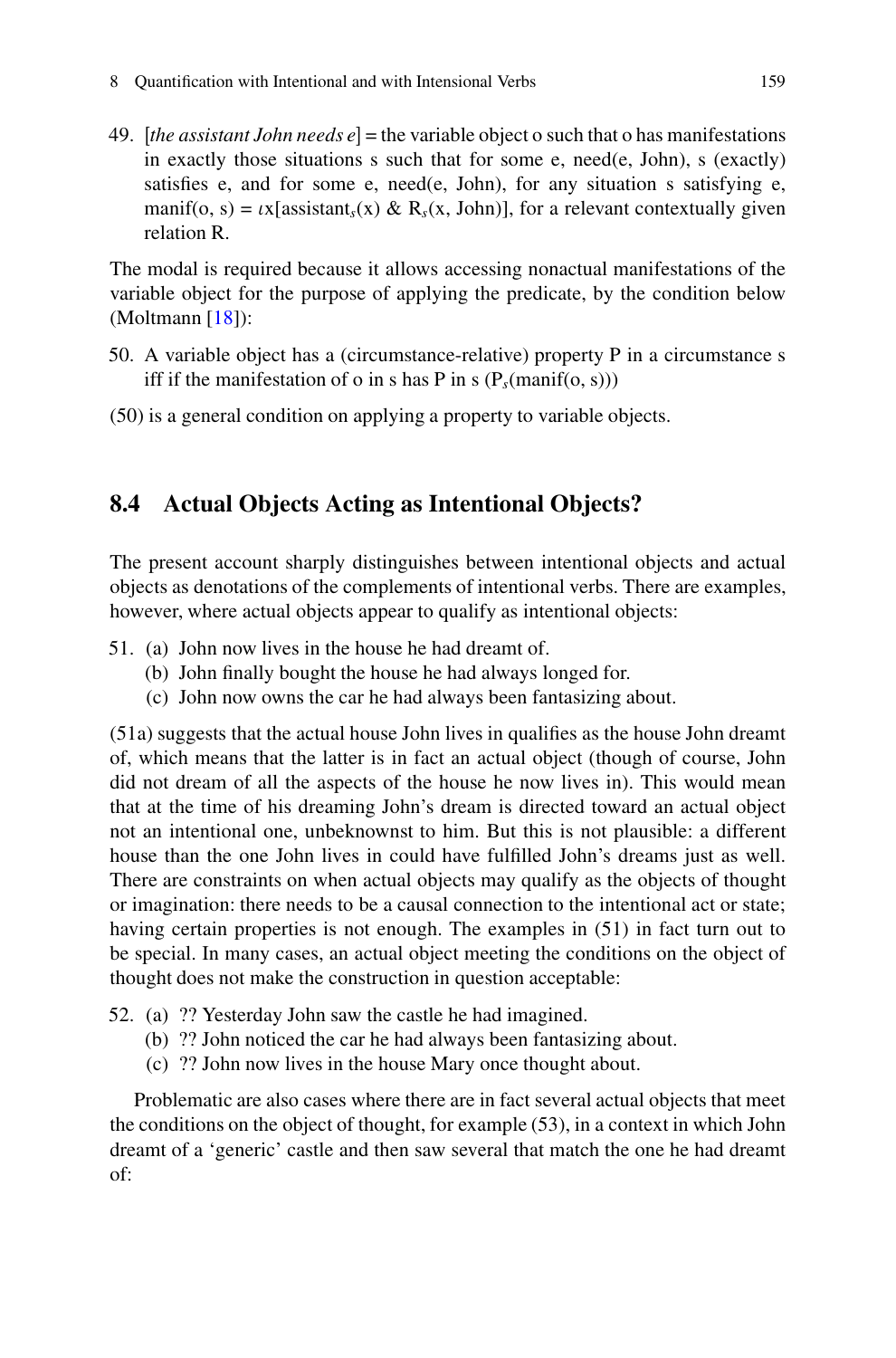49. *[the assistant John needs e]* = the variable object o such that o has manifestations in exactly those situations s such that for some e, need(e, John), s (exactly) satisfies e, and for some e, need(e, John), for any situation s satisfying e, manif(o, s) =  $\iota$ x[assistant<sub>s</sub>(x) & R<sub>s</sub>(x, John)], for a relevant contextually given relation R.

The modal is required because it allows accessing nonactual manifestations of the variable object for the purpose of applying the predicate, by the condition below (Moltmann [\[18\]](#page-26-27)):

- 50. A variable object has a (circumstance-relative) property P in a circumstance s iff if the manifestation of o in s has P in s  $(P_s(\text{manif}(o, s)))$
- (50) is a general condition on applying a property to variable objects.

### **8.4 Actual Objects Acting as Intentional Objects?**

The present account sharply distinguishes between intentional objects and actual objects as denotations of the complements of intentional verbs. There are examples, however, where actual objects appear to qualify as intentional objects:

- 51. (a) John now lives in the house he had dreamt of.
	- (b) John finally bought the house he had always longed for.
	- (c) John now owns the car he had always been fantasizing about.

(51a) suggests that the actual house John lives in qualifies as the house John dreamt of, which means that the latter is in fact an actual object (though of course, John did not dream of all the aspects of the house he now lives in). This would mean that at the time of his dreaming John's dream is directed toward an actual object not an intentional one, unbeknownst to him. But this is not plausible: a different house than the one John lives in could have fulfilled John's dreams just as well. There are constraints on when actual objects may qualify as the objects of thought or imagination: there needs to be a causal connection to the intentional act or state; having certain properties is not enough. The examples in (51) in fact turn out to be special. In many cases, an actual object meeting the conditions on the object of thought does not make the construction in question acceptable:

- 52. (a) ?? Yesterday John saw the castle he had imagined.
	- (b) ?? John noticed the car he had always been fantasizing about.
	- (c) ?? John now lives in the house Mary once thought about.

Problematic are also cases where there are in fact several actual objects that meet the conditions on the object of thought, for example (53), in a context in which John dreamt of a 'generic' castle and then saw several that match the one he had dreamt of: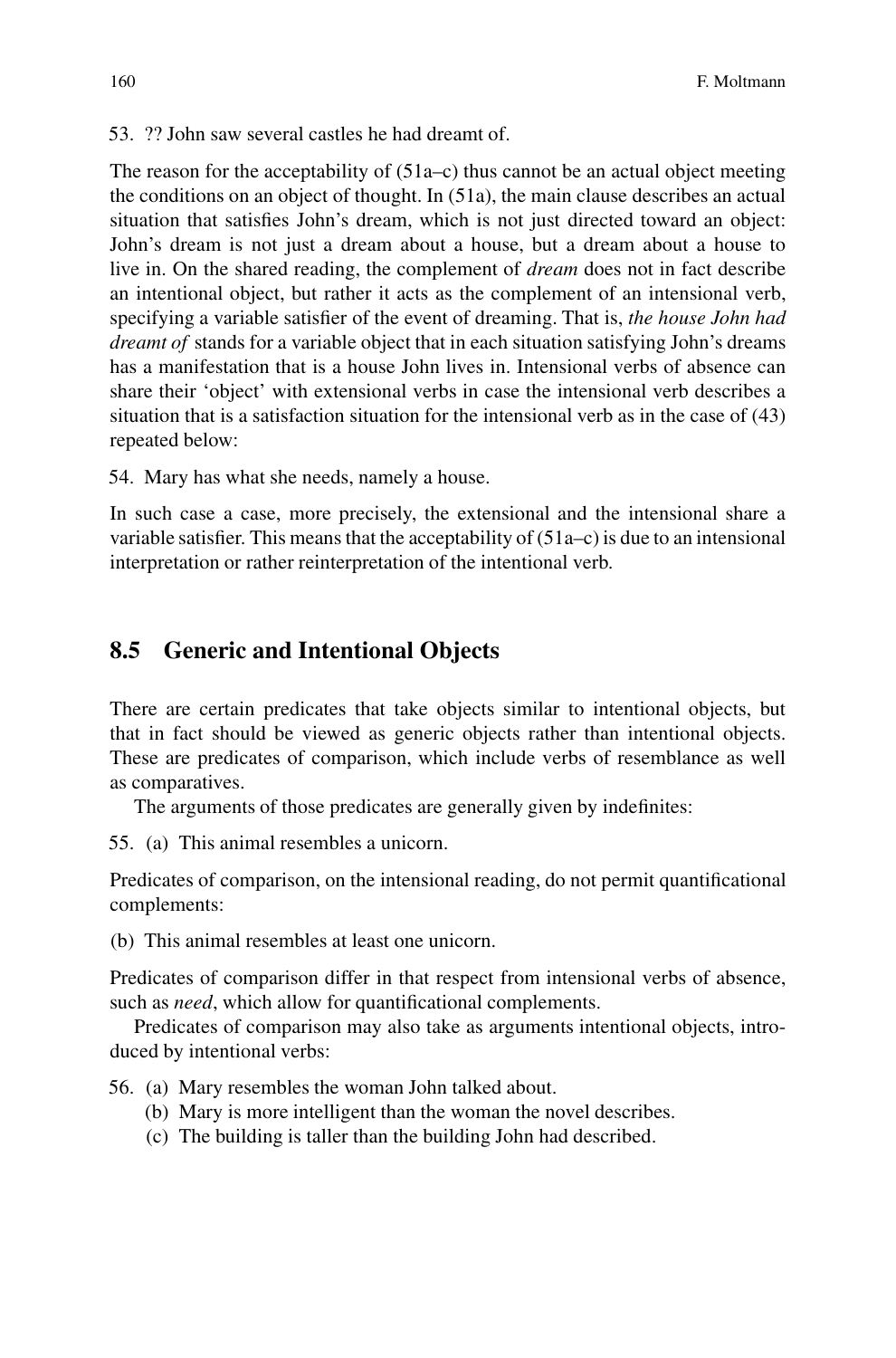53. ?? John saw several castles he had dreamt of.

The reason for the acceptability of  $(51a-c)$  thus cannot be an actual object meeting the conditions on an object of thought. In (51a), the main clause describes an actual situation that satisfies John's dream, which is not just directed toward an object: John's dream is not just a dream about a house, but a dream about a house to live in. On the shared reading, the complement of *dream* does not in fact describe an intentional object, but rather it acts as the complement of an intensional verb, specifying a variable satisfier of the event of dreaming. That is, *the house John had dreamt of* stands for a variable object that in each situation satisfying John's dreams has a manifestation that is a house John lives in. Intensional verbs of absence can share their 'object' with extensional verbs in case the intensional verb describes a situation that is a satisfaction situation for the intensional verb as in the case of (43) repeated below:

54. Mary has what she needs, namely a house.

In such case a case, more precisely, the extensional and the intensional share a variable satisfier. This means that the acceptability of  $(51a-c)$  is due to an intensional interpretation or rather reinterpretation of the intentional verb.

#### **8.5 Generic and Intentional Objects**

There are certain predicates that take objects similar to intentional objects, but that in fact should be viewed as generic objects rather than intentional objects. These are predicates of comparison, which include verbs of resemblance as well as comparatives.

The arguments of those predicates are generally given by indefinites:

55. (a) This animal resembles a unicorn.

Predicates of comparison, on the intensional reading, do not permit quantificational complements:

(b) This animal resembles at least one unicorn.

Predicates of comparison differ in that respect from intensional verbs of absence, such as *need*, which allow for quantificational complements.

Predicates of comparison may also take as arguments intentional objects, introduced by intentional verbs:

- 56. (a) Mary resembles the woman John talked about.
	- (b) Mary is more intelligent than the woman the novel describes.
	- (c) The building is taller than the building John had described.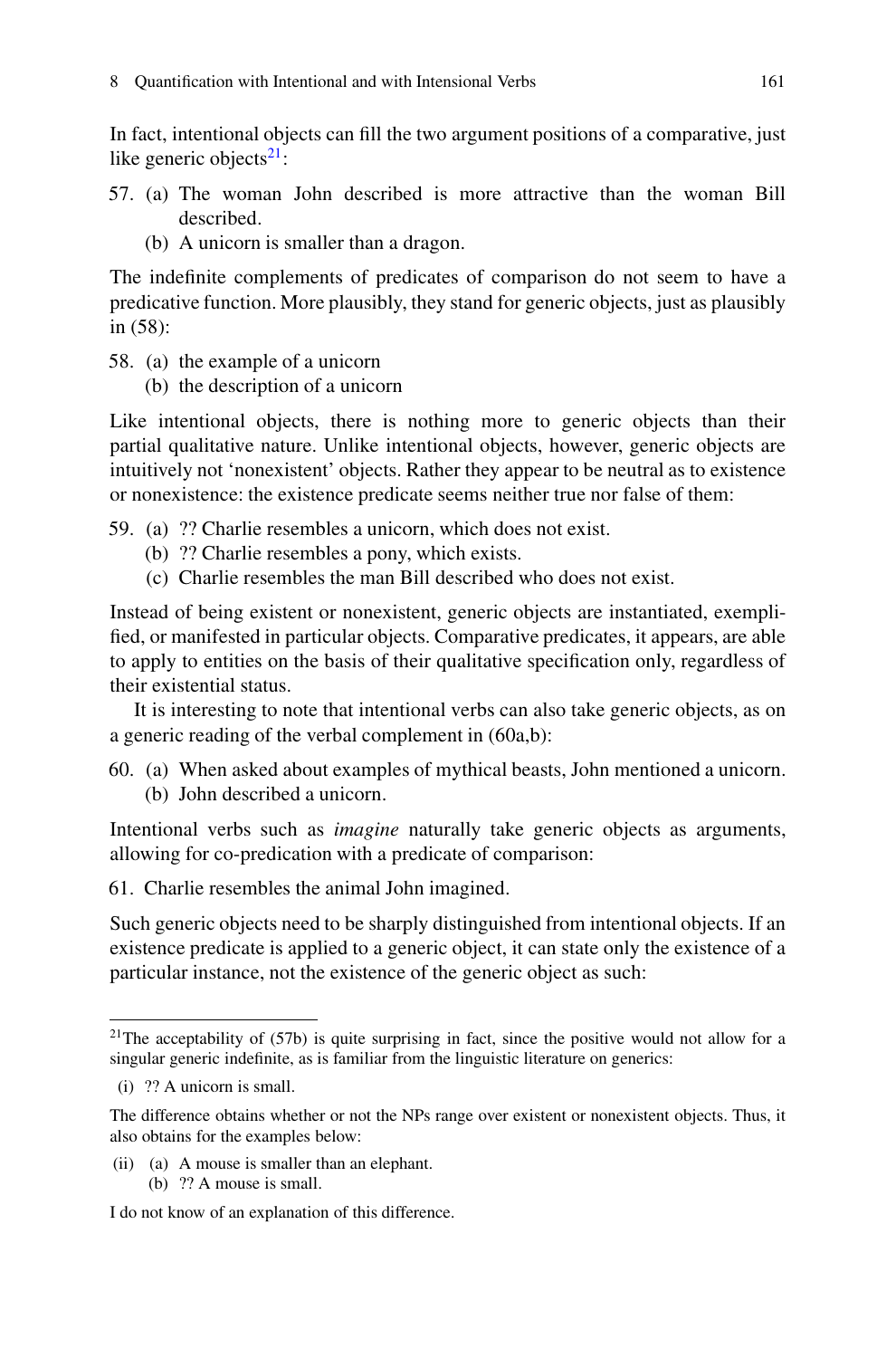In fact, intentional objects can fill the two argument positions of a comparative, just like generic objects $2<sup>1</sup>$ :

- 57. (a) The woman John described is more attractive than the woman Bill described.
	- (b) A unicorn is smaller than a dragon.

The indefinite complements of predicates of comparison do not seem to have a predicative function. More plausibly, they stand for generic objects, just as plausibly in (58):

- 58. (a) the example of a unicorn
	- (b) the description of a unicorn

Like intentional objects, there is nothing more to generic objects than their partial qualitative nature. Unlike intentional objects, however, generic objects are intuitively not 'nonexistent' objects. Rather they appear to be neutral as to existence or nonexistence: the existence predicate seems neither true nor false of them:

- 59. (a) ?? Charlie resembles a unicorn, which does not exist.
	- (b) ?? Charlie resembles a pony, which exists.
	- (c) Charlie resembles the man Bill described who does not exist.

Instead of being existent or nonexistent, generic objects are instantiated, exemplified, or manifested in particular objects. Comparative predicates, it appears, are able to apply to entities on the basis of their qualitative specification only, regardless of their existential status.

It is interesting to note that intentional verbs can also take generic objects, as on a generic reading of the verbal complement in (60a,b):

60. (a) When asked about examples of mythical beasts, John mentioned a unicorn. (b) John described a unicorn.

Intentional verbs such as *imagine* naturally take generic objects as arguments, allowing for co-predication with a predicate of comparison:

61. Charlie resembles the animal John imagined.

Such generic objects need to be sharply distinguished from intentional objects. If an existence predicate is applied to a generic object, it can state only the existence of a particular instance, not the existence of the generic object as such:

(ii) (a) A mouse is smaller than an elephant. (b) ?? A mouse is small.

I do not know of an explanation of this difference.

<span id="page-20-0"></span><sup>&</sup>lt;sup>21</sup>The acceptability of  $(57b)$  is quite surprising in fact, since the positive would not allow for a singular generic indefinite, as is familiar from the linguistic literature on generics:

<sup>(</sup>i) ?? A unicorn is small.

The difference obtains whether or not the NPs range over existent or nonexistent objects. Thus, it also obtains for the examples below: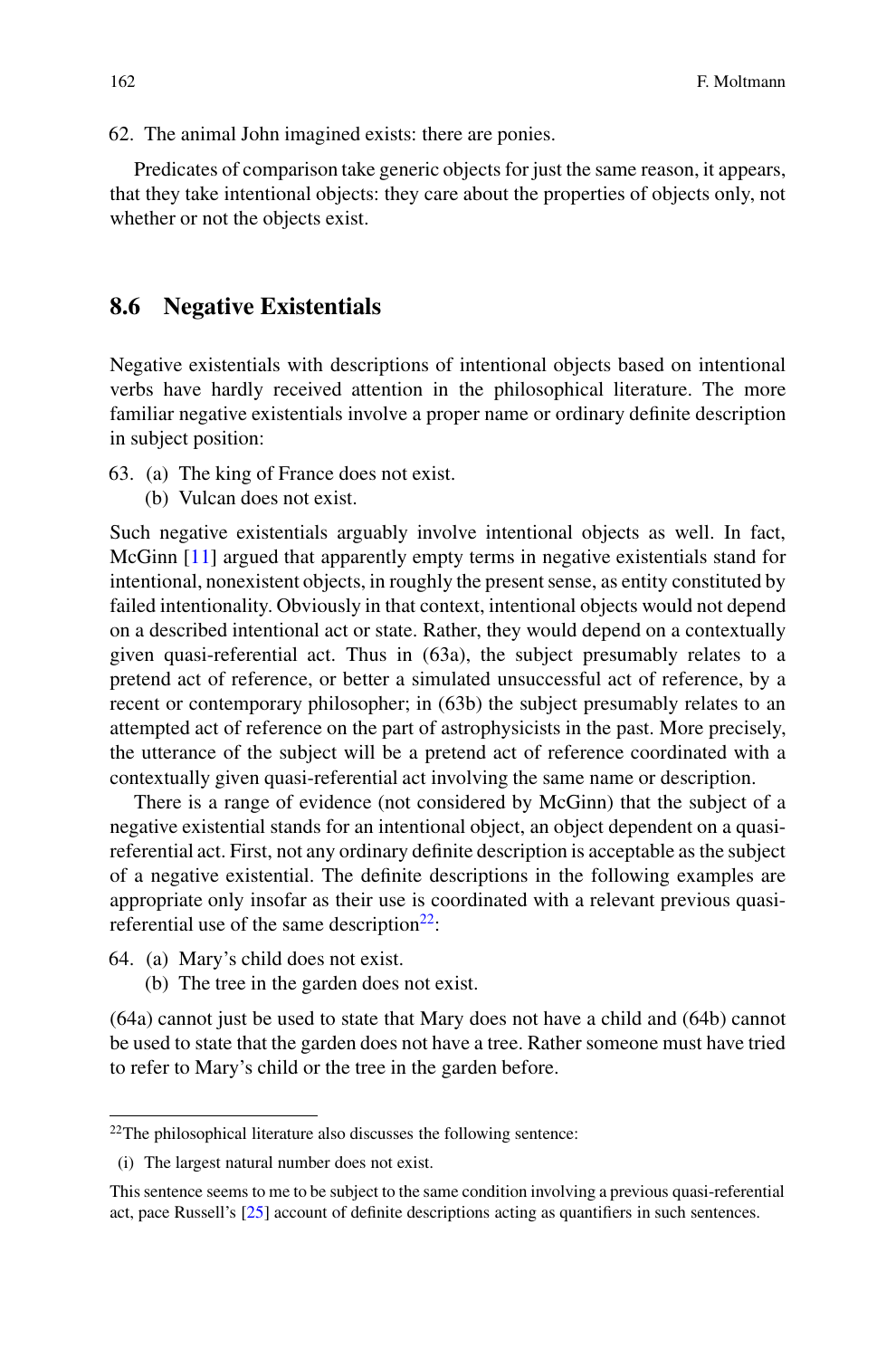62. The animal John imagined exists: there are ponies.

Predicates of comparison take generic objects for just the same reason, it appears, that they take intentional objects: they care about the properties of objects only, not whether or not the objects exist.

#### **8.6 Negative Existentials**

Negative existentials with descriptions of intentional objects based on intentional verbs have hardly received attention in the philosophical literature. The more familiar negative existentials involve a proper name or ordinary definite description in subject position:

- 63. (a) The king of France does not exist.
	- (b) Vulcan does not exist.

Such negative existentials arguably involve intentional objects as well. In fact, McGinn [\[11\]](#page-26-13) argued that apparently empty terms in negative existentials stand for intentional, nonexistent objects, in roughly the present sense, as entity constituted by failed intentionality. Obviously in that context, intentional objects would not depend on a described intentional act or state. Rather, they would depend on a contextually given quasi-referential act. Thus in (63a), the subject presumably relates to a pretend act of reference, or better a simulated unsuccessful act of reference, by a recent or contemporary philosopher; in (63b) the subject presumably relates to an attempted act of reference on the part of astrophysicists in the past. More precisely, the utterance of the subject will be a pretend act of reference coordinated with a contextually given quasi-referential act involving the same name or description.

There is a range of evidence (not considered by McGinn) that the subject of a negative existential stands for an intentional object, an object dependent on a quasireferential act. First, not any ordinary definite description is acceptable as the subject of a negative existential. The definite descriptions in the following examples are appropriate only insofar as their use is coordinated with a relevant previous quasireferential use of the same description $22$ :

- 64. (a) Mary's child does not exist.
	- (b) The tree in the garden does not exist.

(64a) cannot just be used to state that Mary does not have a child and (64b) cannot be used to state that the garden does not have a tree. Rather someone must have tried to refer to Mary's child or the tree in the garden before.

<span id="page-21-0"></span> $22$ The philosophical literature also discusses the following sentence:

<sup>(</sup>i) The largest natural number does not exist.

This sentence seems to me to be subject to the same condition involving a previous quasi-referential act, pace Russell's [\[25\]](#page-26-30) account of definite descriptions acting as quantifiers in such sentences.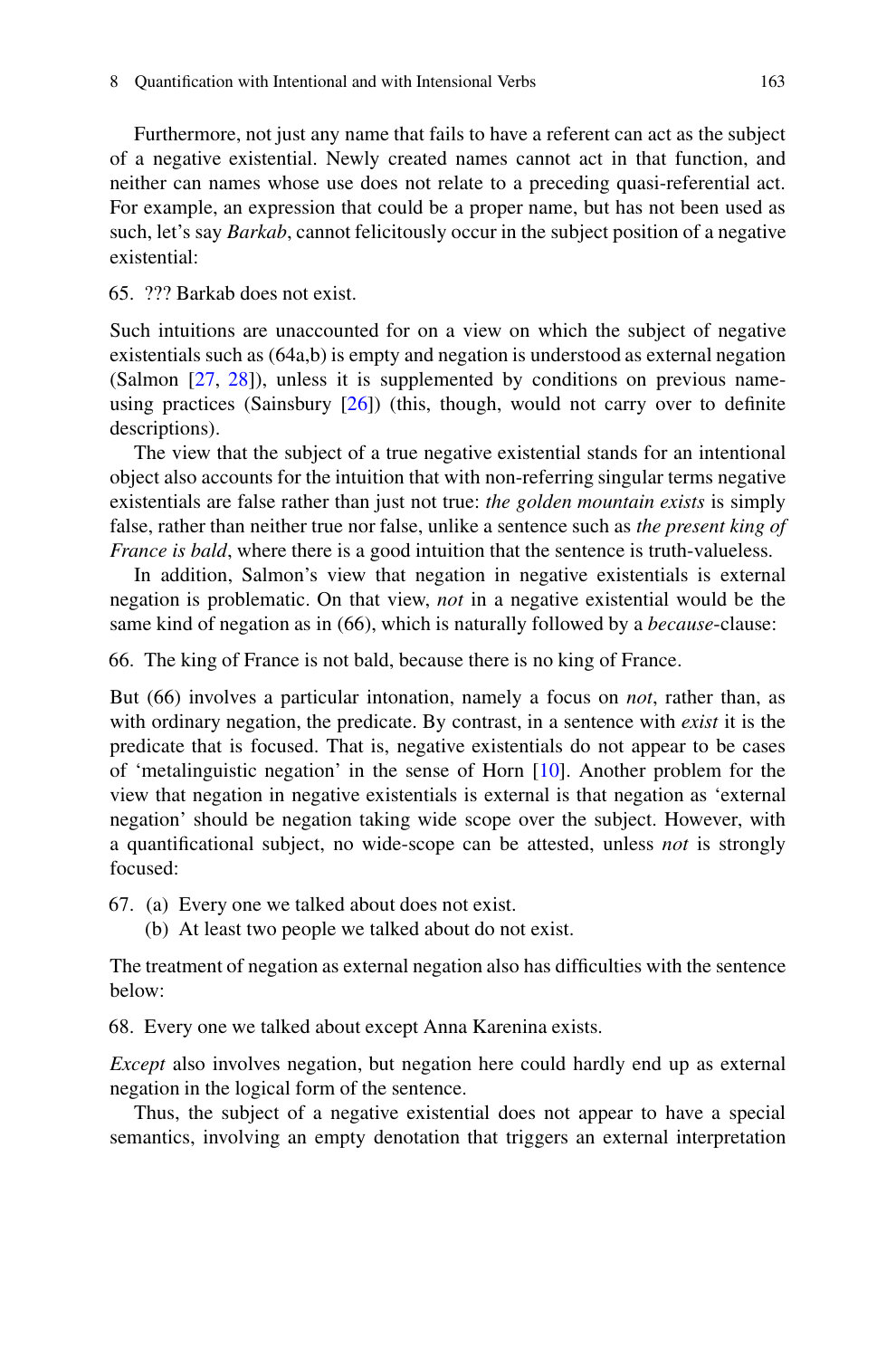Furthermore, not just any name that fails to have a referent can act as the subject of a negative existential. Newly created names cannot act in that function, and neither can names whose use does not relate to a preceding quasi-referential act. For example, an expression that could be a proper name, but has not been used as such, let's say *Barkab*, cannot felicitously occur in the subject position of a negative existential:

#### 65. ??? Barkab does not exist.

Such intuitions are unaccounted for on a view on which the subject of negative existentials such as (64a,b) is empty and negation is understood as external negation (Salmon [\[27,](#page-26-6) [28\]](#page-26-7)), unless it is supplemented by conditions on previous nameusing practices (Sainsbury [\[26\]](#page-26-9)) (this, though, would not carry over to definite descriptions).

The view that the subject of a true negative existential stands for an intentional object also accounts for the intuition that with non-referring singular terms negative existentials are false rather than just not true: *the golden mountain exists* is simply false, rather than neither true nor false, unlike a sentence such as *the present king of France is bald*, where there is a good intuition that the sentence is truth-valueless.

In addition, Salmon's view that negation in negative existentials is external negation is problematic. On that view, *not* in a negative existential would be the same kind of negation as in (66), which is naturally followed by a *because*-clause:

66. The king of France is not bald, because there is no king of France.

But (66) involves a particular intonation, namely a focus on *not*, rather than, as with ordinary negation, the predicate. By contrast, in a sentence with *exist* it is the predicate that is focused. That is, negative existentials do not appear to be cases of 'metalinguistic negation' in the sense of Horn [\[10\]](#page-26-31). Another problem for the view that negation in negative existentials is external is that negation as 'external negation' should be negation taking wide scope over the subject. However, with a quantificational subject, no wide-scope can be attested, unless *not* is strongly focused:

- 67. (a) Every one we talked about does not exist.
	- (b) At least two people we talked about do not exist.

The treatment of negation as external negation also has difficulties with the sentence below:

68. Every one we talked about except Anna Karenina exists.

*Except* also involves negation, but negation here could hardly end up as external negation in the logical form of the sentence.

Thus, the subject of a negative existential does not appear to have a special semantics, involving an empty denotation that triggers an external interpretation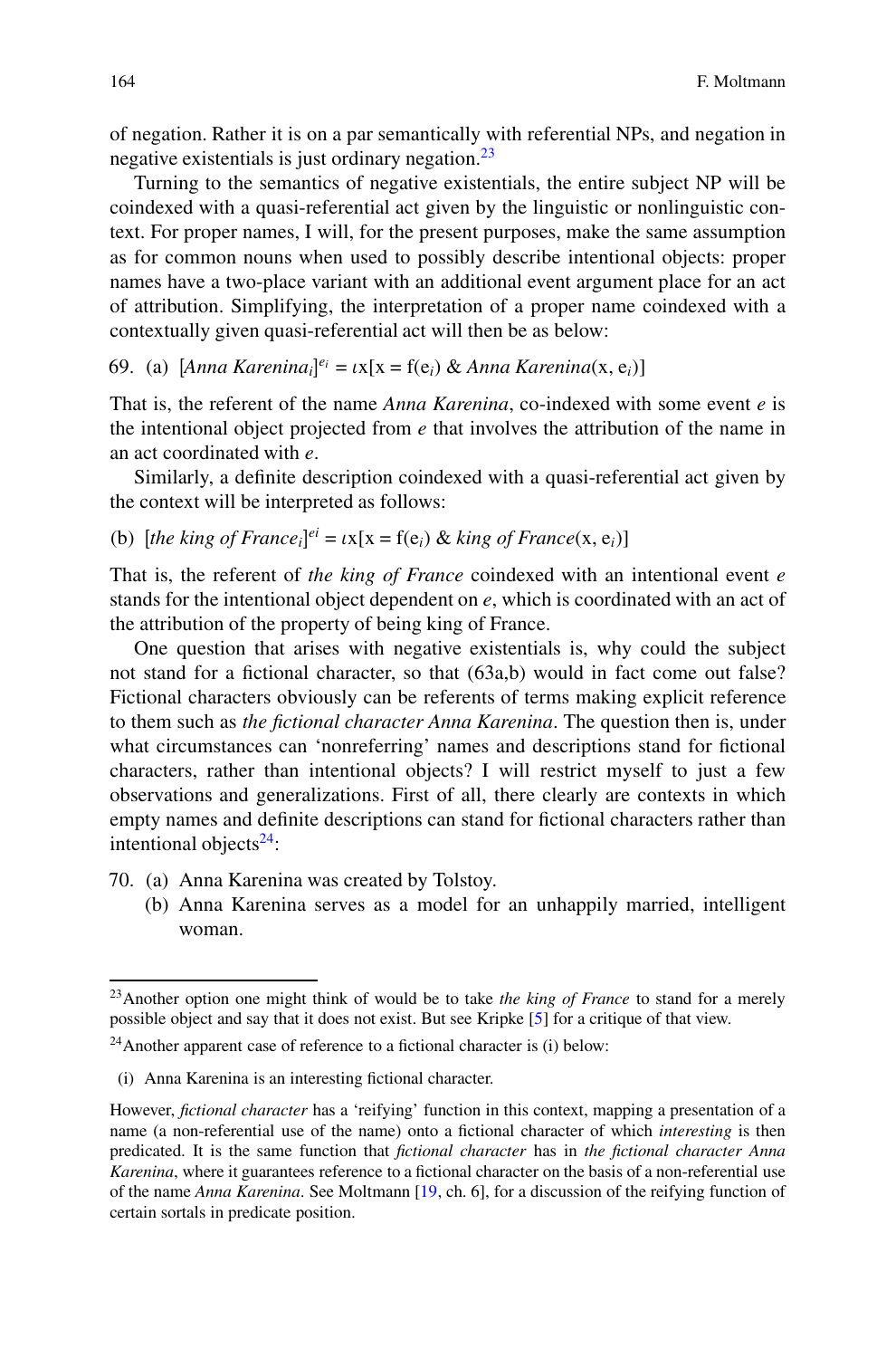of negation. Rather it is on a par semantically with referential NPs, and negation in negative existentials is just ordinary negation. $2<sup>3</sup>$ 

Turning to the semantics of negative existentials, the entire subject NP will be coindexed with a quasi-referential act given by the linguistic or nonlinguistic context. For proper names, I will, for the present purposes, make the same assumption as for common nouns when used to possibly describe intentional objects: proper names have a two-place variant with an additional event argument place for an act of attribution. Simplifying, the interpretation of a proper name coindexed with a contextually given quasi-referential act will then be as below:

69. (a)  $[Anna Karenina_i]^{e_i} = \iota x[x = f(e_i) \& Anna Karenina(x, e_i)]$ 

That is, the referent of the name *Anna Karenina*, co-indexed with some event *e* is the intentional object projected from *e* that involves the attribution of the name in an act coordinated with *e*.

Similarly, a definite description coindexed with a quasi-referential act given by the context will be interpreted as follows:

(b) [the king of France<sub>i</sub>]<sup>ei</sup> = 
$$
\iota
$$
x[x = f(e<sub>i</sub>) & *k king of France*(x, e<sub>i</sub>)]

That is, the referent of *the king of France* coindexed with an intentional event *e* stands for the intentional object dependent on *e*, which is coordinated with an act of the attribution of the property of being king of France.

One question that arises with negative existentials is, why could the subject not stand for a fictional character, so that  $(63a,b)$  would in fact come out false? Fictional characters obviously can be referents of terms making explicit reference to them such as *the fictional character Anna Karenina*. The question then is, under what circumstances can 'nonreferring' names and descriptions stand for fictional characters, rather than intentional objects? I will restrict myself to just a few observations and generalizations. First of all, there clearly are contexts in which empty names and definite descriptions can stand for fictional characters rather than intentional objects $^{24}$ :

- 70. (a) Anna Karenina was created by Tolstoy.
	- (b) Anna Karenina serves as a model for an unhappily married, intelligent woman.

<span id="page-23-0"></span><sup>23</sup>Another option one might think of would be to take *the king of France* to stand for a merely possible object and say that it does not exist. But see Kripke [\[5\]](#page-26-32) for a critique of that view.

<span id="page-23-1"></span> $24$ Another apparent case of reference to a fictional character is (i) below:

<sup>(</sup>i) Anna Karenina is an interesting fictional character.

However, *fictional character* has a 'reifying' function in this context, mapping a presentation of a name (a non-referential use of the name) onto a fictional character of which *interesting* is then predicated. It is the same function that *fictional character* has in *the fictional character Anna Karenina*, where it guarantees reference to a fictional character on the basis of a non-referential use of the name *Anna Karenina*. See Moltmann [\[19,](#page-26-24) ch. 6], for a discussion of the reifying function of certain sortals in predicate position.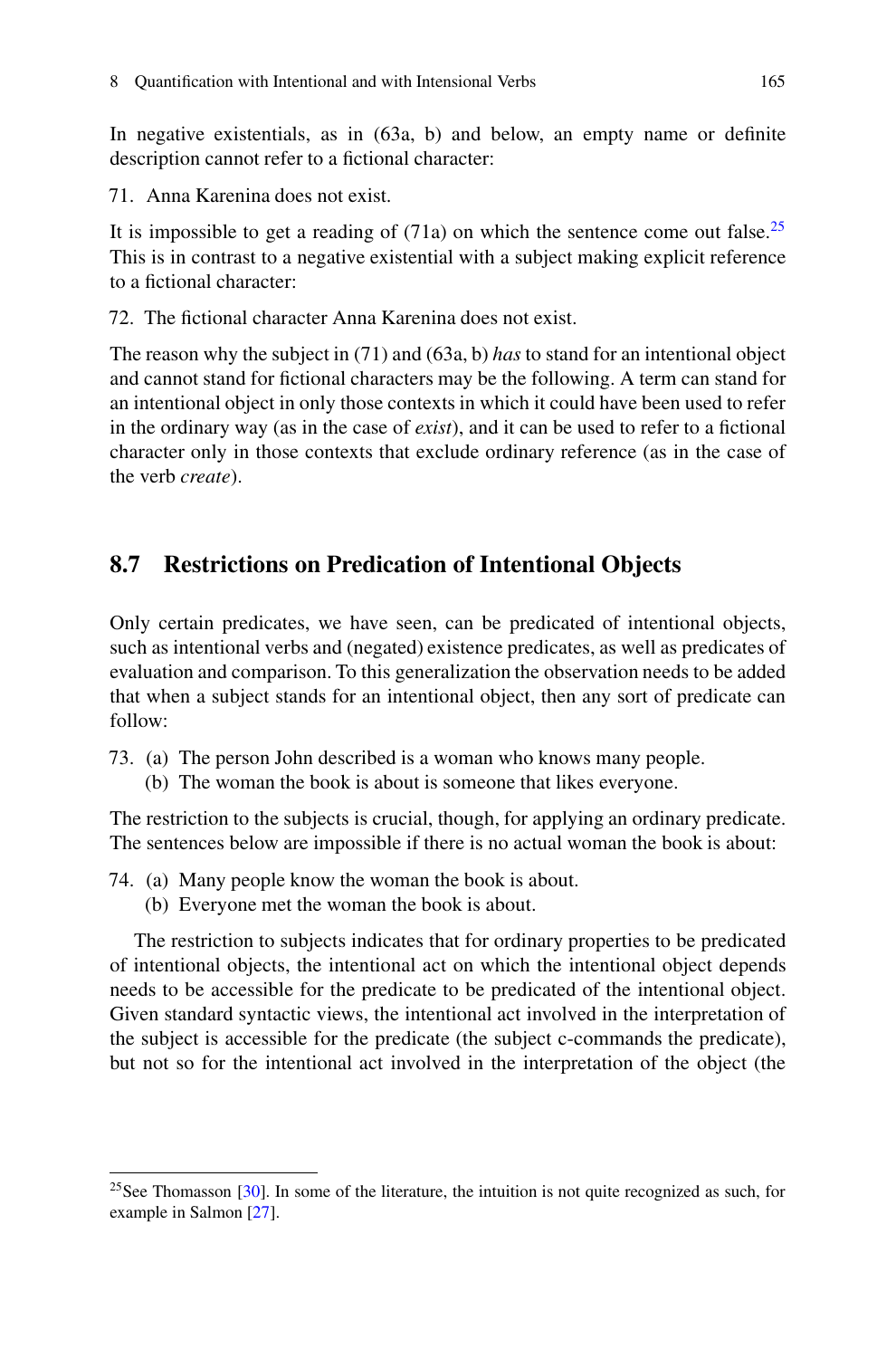In negative existentials, as in (63a, b) and below, an empty name or definite description cannot refer to a fictional character:

71. Anna Karenina does not exist.

It is impossible to get a reading of (71a) on which the sentence come out false.<sup>[25](#page-24-0)</sup> This is in contrast to a negative existential with a subject making explicit reference to a fictional character:

72. The fictional character Anna Karenina does not exist.

The reason why the subject in (71) and (63a, b) *has* to stand for an intentional object and cannot stand for fictional characters may be the following. A term can stand for an intentional object in only those contexts in which it could have been used to refer in the ordinary way (as in the case of *exist*), and it can be used to refer to a fictional character only in those contexts that exclude ordinary reference (as in the case of the verb *create*).

# **8.7 Restrictions on Predication of Intentional Objects**

Only certain predicates, we have seen, can be predicated of intentional objects, such as intentional verbs and (negated) existence predicates, as well as predicates of evaluation and comparison. To this generalization the observation needs to be added that when a subject stands for an intentional object, then any sort of predicate can follow:

- 73. (a) The person John described is a woman who knows many people.
	- (b) The woman the book is about is someone that likes everyone.

The restriction to the subjects is crucial, though, for applying an ordinary predicate. The sentences below are impossible if there is no actual woman the book is about:

- 74. (a) Many people know the woman the book is about.
	- (b) Everyone met the woman the book is about.

The restriction to subjects indicates that for ordinary properties to be predicated of intentional objects, the intentional act on which the intentional object depends needs to be accessible for the predicate to be predicated of the intentional object. Given standard syntactic views, the intentional act involved in the interpretation of the subject is accessible for the predicate (the subject c-commands the predicate), but not so for the intentional act involved in the interpretation of the object (the

<span id="page-24-0"></span><sup>&</sup>lt;sup>25</sup>See Thomasson  $[30]$ . In some of the literature, the intuition is not quite recognized as such, for example in Salmon [\[27\]](#page-26-6).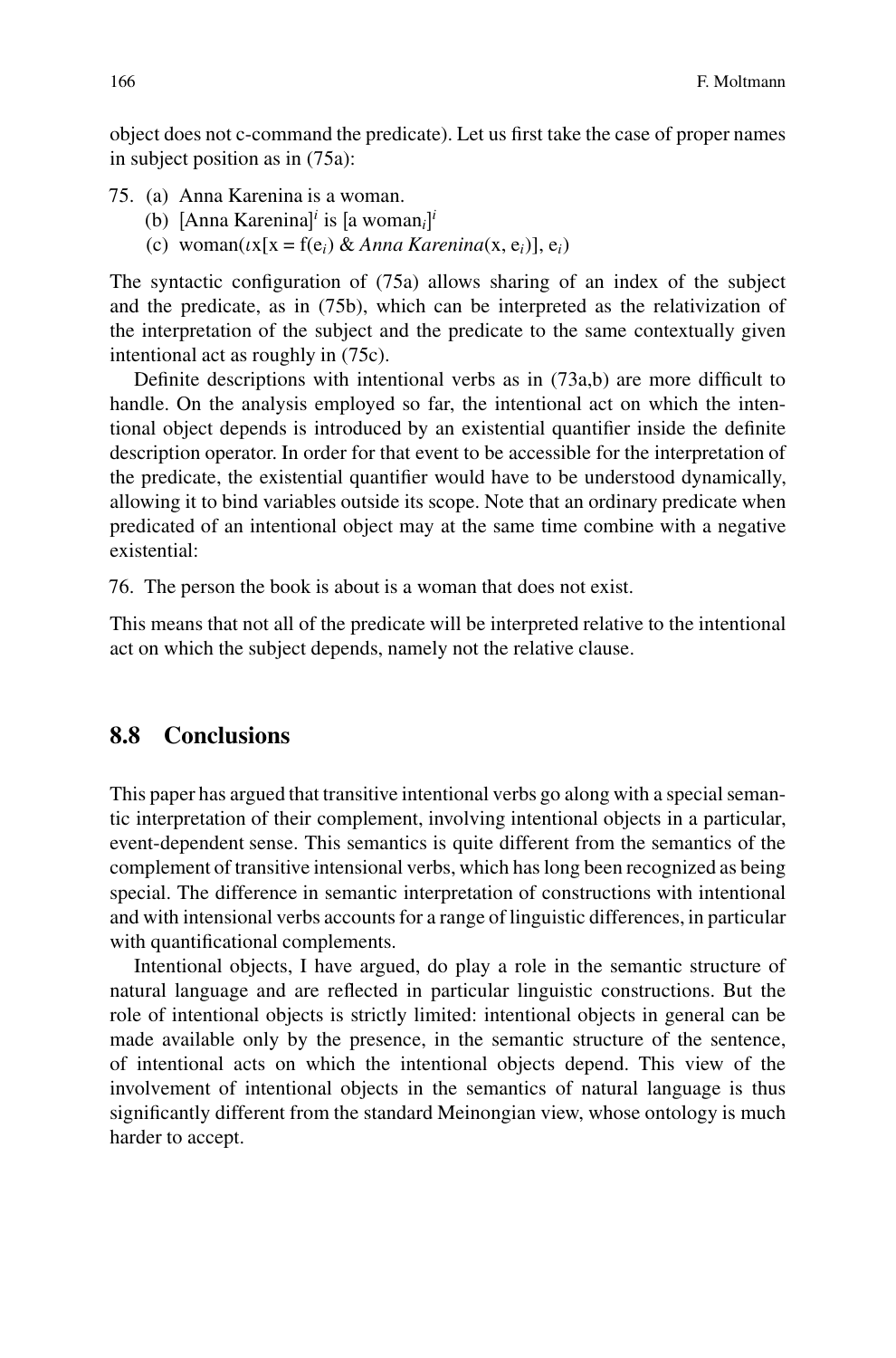object does not c-command the predicate). Let us first take the case of proper names in subject position as in (75a):

- 75. (a) Anna Karenina is a woman.
	- (b)  $[Anna Karenina]<sup>i</sup>$  is  $[a woman<sub>i</sub>]<sup>i</sup>$
	- (c) woman( $\iota$ x[x = f(e<sub>*i*</sub>) & *Anna Karenina*(x, e<sub>*i*</sub>)], e<sub>*i*</sub>)

The syntactic configuration of (75a) allows sharing of an index of the subject and the predicate, as in (75b), which can be interpreted as the relativization of the interpretation of the subject and the predicate to the same contextually given intentional act as roughly in (75c).

Definite descriptions with intentional verbs as in (73a,b) are more difficult to handle. On the analysis employed so far, the intentional act on which the intentional object depends is introduced by an existential quantifier inside the definite description operator. In order for that event to be accessible for the interpretation of the predicate, the existential quantifier would have to be understood dynamically, allowing it to bind variables outside its scope. Note that an ordinary predicate when predicated of an intentional object may at the same time combine with a negative existential:

76. The person the book is about is a woman that does not exist.

This means that not all of the predicate will be interpreted relative to the intentional act on which the subject depends, namely not the relative clause.

#### **8.8 Conclusions**

This paper has argued that transitive intentional verbs go along with a special semantic interpretation of their complement, involving intentional objects in a particular, event-dependent sense. This semantics is quite different from the semantics of the complement of transitive intensional verbs, which has long been recognized as being special. The difference in semantic interpretation of constructions with intentional and with intensional verbs accounts for a range of linguistic differences, in particular with quantificational complements.

Intentional objects, I have argued, do play a role in the semantic structure of natural language and are reflected in particular linguistic constructions. But the role of intentional objects is strictly limited: intentional objects in general can be made available only by the presence, in the semantic structure of the sentence, of intentional acts on which the intentional objects depend. This view of the involvement of intentional objects in the semantics of natural language is thus significantly different from the standard Meinongian view, whose ontology is much harder to accept.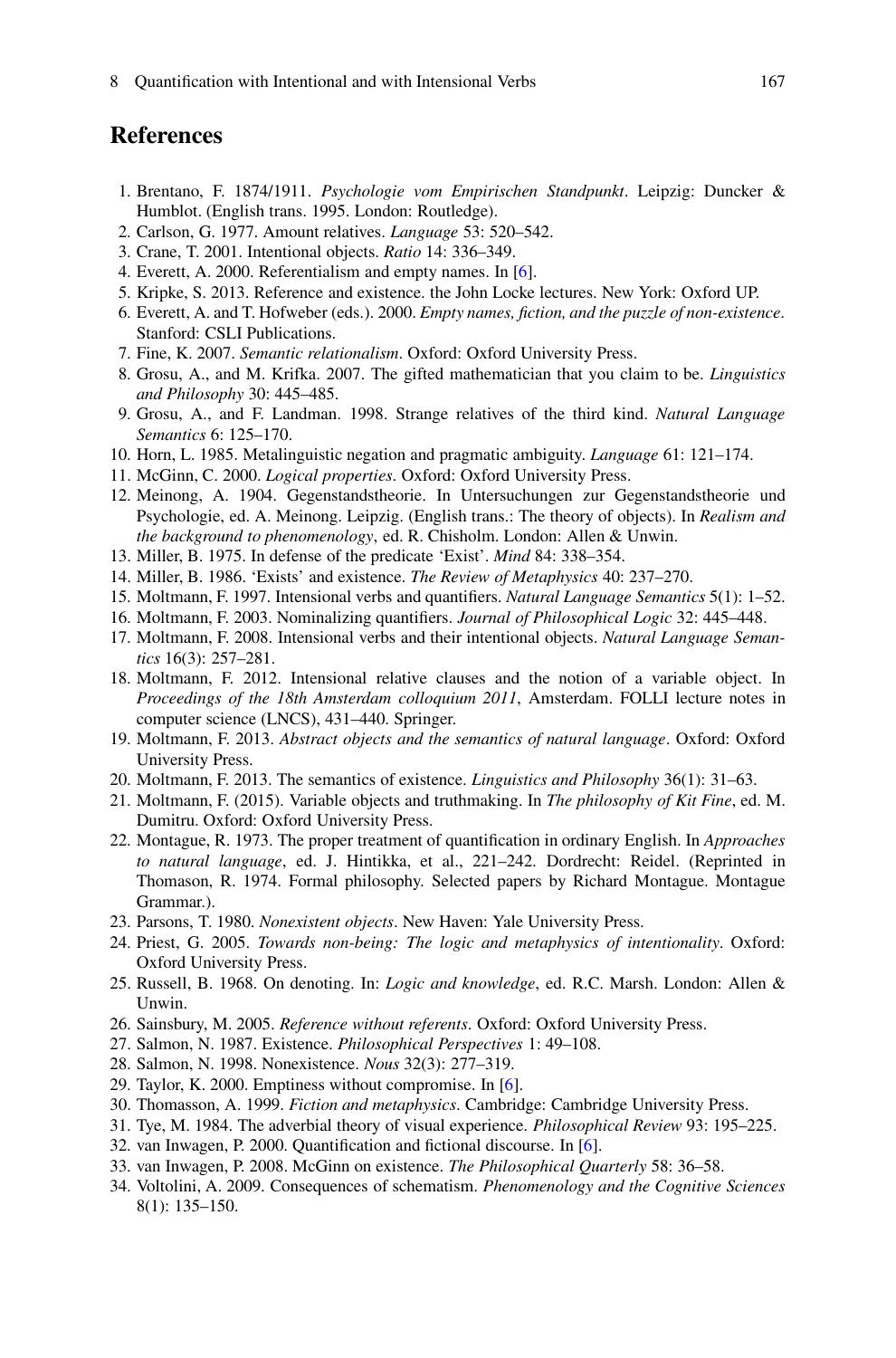#### **References**

- <span id="page-26-1"></span>1. Brentano, F. 1874/1911. *Psychologie vom Empirischen Standpunkt*. Leipzig: Duncker & Humblot. (English trans. 1995. London: Routledge).
- <span id="page-26-20"></span>2. Carlson, G. 1977. Amount relatives. *Language* 53: 520–542.
- <span id="page-26-12"></span>3. Crane, T. 2001. Intentional objects. *Ratio* 14: 336–349.
- <span id="page-26-2"></span>4. Everett, A. 2000. Referentialism and empty names. In [\[6\]](#page-26-33).
- <span id="page-26-32"></span>5. Kripke, S. 2013. Reference and existence. the John Locke lectures. New York: Oxford UP.
- <span id="page-26-33"></span>6. Everett, A. and T. Hofweber (eds.). 2000. *Empty names, fiction, and the puzzle of non-existence*. Stanford: CSLI Publications.
- <span id="page-26-19"></span>7. Fine, K. 2007. *Semantic relationalism*. Oxford: Oxford University Press.
- <span id="page-26-29"></span>8. Grosu, A., and M. Krifka. 2007. The gifted mathematician that you claim to be. *Linguistics and Philosophy* 30: 445–485.
- <span id="page-26-21"></span>9. Grosu, A., and F. Landman. 1998. Strange relatives of the third kind. *Natural Language Semantics* 6: 125–170.
- <span id="page-26-31"></span>10. Horn, L. 1985. Metalinguistic negation and pragmatic ambiguity. *Language* 61: 121–174.
- <span id="page-26-13"></span>11. McGinn, C. 2000. *Logical properties*. Oxford: Oxford University Press.
- <span id="page-26-0"></span>12. Meinong, A. 1904. Gegenstandstheorie. In Untersuchungen zur Gegenstandstheorie und Psychologie, ed. A. Meinong. Leipzig. (English trans.: The theory of objects). In *Realism and the background to phenomenology*, ed. R. Chisholm. London: Allen & Unwin.
- <span id="page-26-4"></span>13. Miller, B. 1975. In defense of the predicate 'Exist'. *Mind* 84: 338–354.
- <span id="page-26-5"></span>14. Miller, B. 1986. 'Exists' and existence. *The Review of Metaphysics* 40: 237–270.
- <span id="page-26-23"></span>15. Moltmann, F. 1997. Intensional verbs and quantifiers. *Natural Language Semantics* 5(1): 1–52.
- <span id="page-26-26"></span>16. Moltmann, F. 2003. Nominalizing quantifiers. *Journal of Philosophical Logic* 32: 445–448.
- <span id="page-26-25"></span>17. Moltmann, F. 2008. Intensional verbs and their intentional objects. *Natural Language Semantics* 16(3): 257–281.
- <span id="page-26-27"></span>18. Moltmann, F. 2012. Intensional relative clauses and the notion of a variable object. In *Proceedings of the 18th Amsterdam colloquium 2011*, Amsterdam. FOLLI lecture notes in computer science (LNCS), 431–440. Springer.
- <span id="page-26-24"></span>19. Moltmann, F. 2013. *Abstract objects and the semantics of natural language*. Oxford: Oxford University Press.
- <span id="page-26-8"></span>20. Moltmann, F. 2013. The semantics of existence. *Linguistics and Philosophy* 36(1): 31–63.
- <span id="page-26-28"></span>21. Moltmann, F. (2015). Variable objects and truthmaking. In *The philosophy of Kit Fine*, ed. M. Dumitru. Oxford: Oxford University Press.
- <span id="page-26-22"></span>22. Montague, R. 1973. The proper treatment of quantification in ordinary English. In *Approaches to natural language*, ed. J. Hintikka, et al., 221–242. Dordrecht: Reidel. (Reprinted in Thomason, R. 1974. Formal philosophy. Selected papers by Richard Montague. Montague Grammar.).
- <span id="page-26-17"></span>23. Parsons, T. 1980. *Nonexistent objects*. New Haven: Yale University Press.
- <span id="page-26-11"></span>24. Priest, G. 2005. *Towards non-being: The logic and metaphysics of intentionality*. Oxford: Oxford University Press.
- <span id="page-26-30"></span>25. Russell, B. 1968. On denoting. In: *Logic and knowledge*, ed. R.C. Marsh. London: Allen & Unwin.
- <span id="page-26-9"></span>26. Sainsbury, M. 2005. *Reference without referents*. Oxford: Oxford University Press.
- <span id="page-26-6"></span>27. Salmon, N. 1987. Existence. *Philosophical Perspectives* 1: 49–108.
- <span id="page-26-7"></span>28. Salmon, N. 1998. Nonexistence. *Nous* 32(3): 277–319.
- <span id="page-26-3"></span>29. Taylor, K. 2000. Emptiness without compromise. In [\[6\]](#page-26-33).
- <span id="page-26-16"></span>30. Thomasson, A. 1999. *Fiction and metaphysics*. Cambridge: Cambridge University Press.
- <span id="page-26-10"></span>31. Tye, M. 1984. The adverbial theory of visual experience. *Philosophical Review* 93: 195–225.
- <span id="page-26-18"></span>32. van Inwagen, P. 2000. Quantification and fictional discourse. In [\[6\]](#page-26-33).
- <span id="page-26-15"></span>33. van Inwagen, P. 2008. McGinn on existence. *The Philosophical Quarterly* 58: 36–58.
- <span id="page-26-14"></span>34. Voltolini, A. 2009. Consequences of schematism. *Phenomenology and the Cognitive Sciences* 8(1): 135–150.